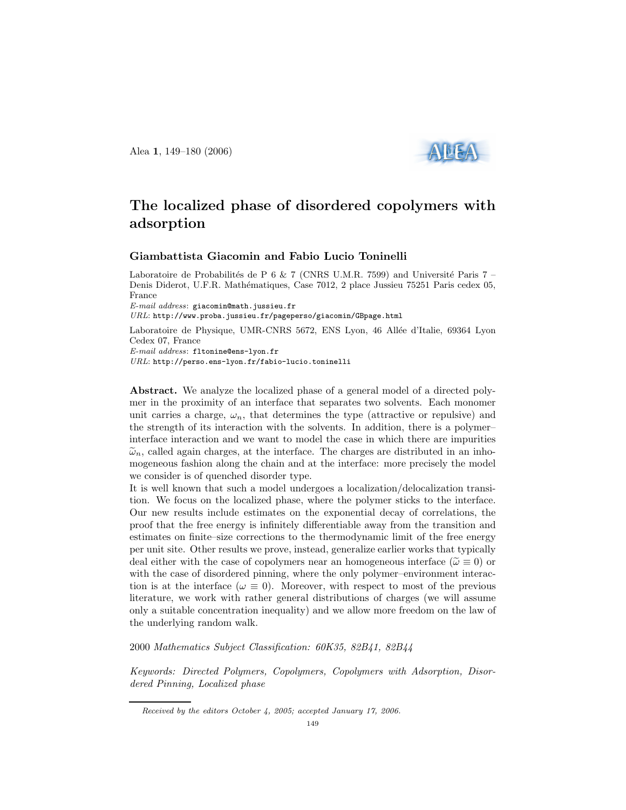Alea 1, 149–180 (2006)



# The localized phase of disordered copolymers with adsorption

# Giambattista Giacomin and Fabio Lucio Toninelli

Laboratoire de Probabilités de P 6 & 7 (CNRS U.M.R. 7599) and Université Paris 7 – Denis Diderot, U.F.R. Mathématiques, Case 7012, 2 place Jussieu 75251 Paris cedex 05, France

 $E-mail$   $address:$  giacomin@math.jussieu.fr

URL: http://www.proba.jussieu.fr/pageperso/giacomin/GBpage.html

Laboratoire de Physique, UMR-CNRS 5672, ENS Lyon, 46 Allée d'Italie, 69364 Lyon Cedex 07, France E-mail address: fltonine@ens-lyon.fr

URL: http://perso.ens-lyon.fr/fabio-lucio.toninelli

Abstract. We analyze the localized phase of a general model of a directed polymer in the proximity of an interface that separates two solvents. Each monomer unit carries a charge,  $\omega_n$ , that determines the type (attractive or repulsive) and the strength of its interaction with the solvents. In addition, there is a polymer– interface interaction and we want to model the case in which there are impurities  $\tilde{\omega}_n$ , called again charges, at the interface. The charges are distributed in an inhomogeneous fashion along the chain and at the interface: more precisely the model we consider is of quenched disorder type.

It is well known that such a model undergoes a localization/delocalization transition. We focus on the localized phase, where the polymer sticks to the interface. Our new results include estimates on the exponential decay of correlations, the proof that the free energy is infinitely differentiable away from the transition and estimates on finite–size corrections to the thermodynamic limit of the free energy per unit site. Other results we prove, instead, generalize earlier works that typically deal either with the case of copolymers near an homogeneous interface ( $\tilde{\omega} \equiv 0$ ) or with the case of disordered pinning, where the only polymer–environment interaction is at the interface ( $\omega \equiv 0$ ). Moreover, with respect to most of the previous literature, we work with rather general distributions of charges (we will assume only a suitable concentration inequality) and we allow more freedom on the law of the underlying random walk.

2000 Mathematics Subject Classification: 60K35, 82B41, 82B44

Keywords: Directed Polymers, Copolymers, Copolymers with Adsorption, Disordered Pinning, Localized phase

Received by the editors October 4, 2005; accepted January 17, 2006.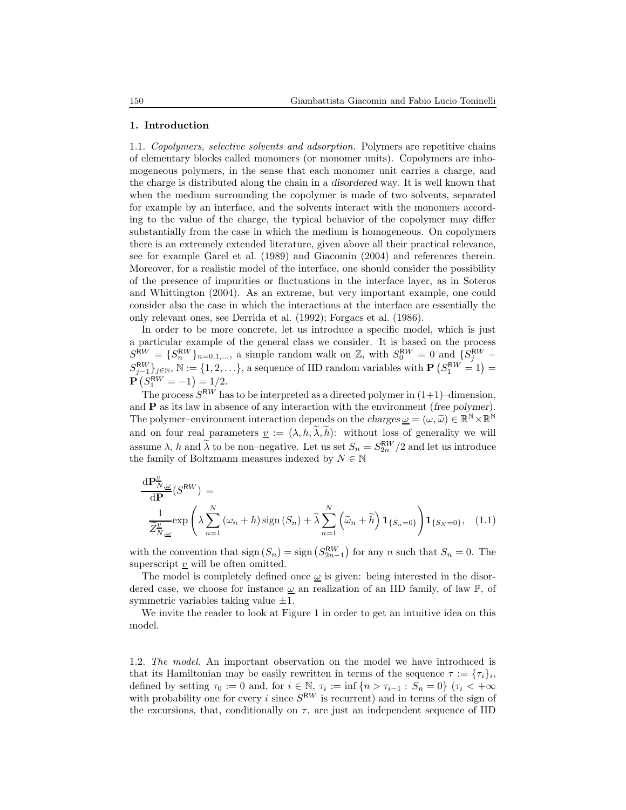#### 1. Introduction

1.1. Copolymers, selective solvents and adsorption. Polymers are repetitive chains of elementary blocks called monomers (or monomer units). Copolymers are inhomogeneous polymers, in the sense that each monomer unit carries a charge, and the charge is distributed along the chain in a disordered way. It is well known that when the medium surrounding the copolymer is made of two solvents, separated for example by an interface, and the solvents interact with the monomers according to the value of the charge, the typical behavior of the copolymer may differ substantially from the case in which the medium is homogeneous. On copolymers there is an extremely extended literature, given above all their practical relevance, see for example Garel et al. (1989) and Giacomin (2004) and references therein. Moreover, for a realistic model of the interface, one should consider the possibility of the presence of impurities or fluctuations in the interface layer, as in Soteros and Whittington (2004). As an extreme, but very important example, one could consider also the case in which the interactions at the interface are essentially the only relevant ones, see Derrida et al. (1992); Forgacs et al. (1986).

In order to be more concrete, let us introduce a specific model, which is just a particular example of the general class we consider. It is based on the process  $S_{\text{new}}^{\text{RW}} = \{S_n^{\text{RW}}\}_{n=0,1,\dots}$ , a simple random walk on Z, with  $S_0^{\text{RW}} = 0$  and  $\{S_j^{\text{RW}}$  –  $S_{j-1}^{RW}\}_{j\in\mathbb{N}}, \mathbb{N} := \{1, 2, \ldots\},\$ a sequence of IID random variables with  $\mathbf{P}\left(S_1^{RW} = 1\right) =$  $\mathbf{P} \left( S_1^{\mathsf{RW}} = -1 \right) = 1/2.$ 

The process  $S^{RW}$  has to be interpreted as a directed polymer in  $(1+1)$ –dimension, and  $P$  as its law in absence of any interaction with the environment (free polymer). The polymer–environment interaction depends on the charges  $\underline{\omega} = (\omega, \widetilde{\omega}) \in \mathbb{R}^{\mathbb{N}} \times \mathbb{R}^{\mathbb{N}}$ and on four real parameters  $\underline{v} := (\lambda, h, \widetilde{\lambda}, \widetilde{h})$ : without loss of generality we will assume  $\lambda$ , h and  $\tilde{\lambda}$  to be non–negative. Let us set  $S_n = S_{2n}^{\text{RW}}/2$  and let us introduce the family of Boltzmann measures indexed by  $N \in \mathbb{N}$ 

$$
\frac{\mathrm{d}P_{N,\underline{\omega}}^{\underline{v}}}{\mathrm{d}P}(S^{\mathrm{RW}}) = \frac{1}{\widetilde{Z}_{N,\underline{\omega}}^{\underline{v}}} \exp\left(\lambda \sum_{n=1}^{N} (\omega_n + h) \operatorname{sign}(S_n) + \widetilde{\lambda} \sum_{n=1}^{N} (\widetilde{\omega}_n + \widetilde{h}) \mathbf{1}_{\{S_n = 0\}}\right) \mathbf{1}_{\{S_N = 0\}}, \quad (1.1)
$$

with the convention that  $sign(S_n) = sign(S_{2n-1}^{RW})$  for any n such that  $S_n = 0$ . The superscript  $v$  will be often omitted.

The model is completely defined once  $\omega$  is given: being interested in the disordered case, we choose for instance  $\underline{\omega}$  an realization of an IID family, of law  $\mathbb{P}$ , of symmetric variables taking value  $\pm 1$ .

We invite the reader to look at Figure 1 in order to get an intuitive idea on this model.

1.2. The model. An important observation on the model we have introduced is that its Hamiltonian may be easily rewritten in terms of the sequence  $\tau := {\tau_i}_i$ , defined by setting  $\tau_0 := 0$  and, for  $i \in \mathbb{N}$ ,  $\tau_i := \inf \{ n > \tau_{i-1} : S_n = 0 \}$  ( $\tau_i < +\infty$ ) with probability one for every i since  $S^{RW}$  is recurrent) and in terms of the sign of the excursions, that, conditionally on  $\tau$ , are just an independent sequence of IID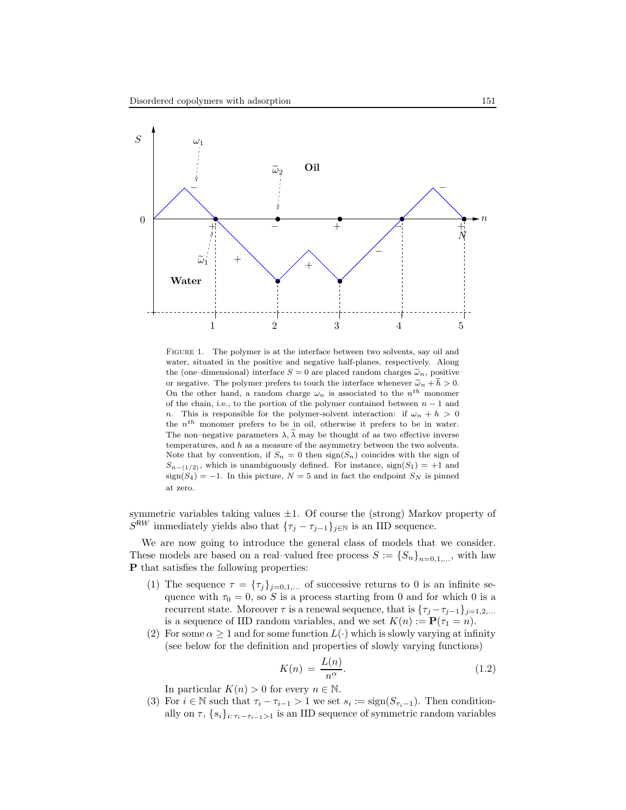

FIGURE 1. The polymer is at the interface between two solvents, say oil and water, situated in the positive and negative half-planes, respectively. Along the (one-dimensional) interface  $S = 0$  are placed random charges  $\tilde{\omega}_n$ , positive or negative. The polymer prefers to touch the interface whenever  $\tilde{\omega}_n + \tilde{h} > 0$ . On the other hand, a random charge  $\omega_n$  is associated to the  $n^{th}$  monomer of the chain, i.e., to the portion of the polymer contained between  $n-1$  and n. This is responsible for the polymer-solvent interaction: if  $\omega_n + h > 0$ the  $n^{th}$  monomer prefers to be in oil, otherwise it prefers to be in water. The non–negative parameters  $\lambda$ ,  $\tilde{\lambda}$  may be thought of as two effective inverse temperatures, and  $h$  as a measure of the asymmetry between the two solvents. Note that by convention, if  $S_n = 0$  then  $sign(S_n)$  coincides with the sign of  $S_{n-(1/2)}$ , which is unambiguously defined. For instance, sign(S<sub>1</sub>) = +1 and  $sign(S_4) = -1$ . In this picture,  $N = 5$  and in fact the endpoint  $S_N$  is pinned at zero.

symmetric variables taking values  $\pm 1$ . Of course the (strong) Markov property of  $S^{RW}$  immediately yields also that  $\{\tau_j - \tau_{j-1}\}_{j \in \mathbb{N}}$  is an IID sequence.

We are now going to introduce the general class of models that we consider. These models are based on a real–valued free process  $S := \{S_n\}_{n=0,1,\ldots}$ , with law P that satisfies the following properties:

- (1) The sequence  $\tau = {\{\tau_j\}}_{j=0,1,...}$  of successive returns to 0 is an infinite sequence with  $\tau_0 = 0$ , so S is a process starting from 0 and for which 0 is a recurrent state. Moreover  $\tau$  is a renewal sequence, that is  $\{\tau_j - \tau_{j-1}\}_{j=1,2,...}$ is a sequence of IID random variables, and we set  $K(n) := \mathbf{P}(\tau_1 = n)$ .
- (2) For some  $\alpha \geq 1$  and for some function  $L(\cdot)$  which is slowly varying at infinity (see below for the definition and properties of slowly varying functions)

$$
K(n) = \frac{L(n)}{n^{\alpha}}.\t(1.2)
$$

In particular  $K(n) > 0$  for every  $n \in \mathbb{N}$ .

(3) For  $i \in \mathbb{N}$  such that  $\tau_i - \tau_{i-1} > 1$  we set  $s_i := \text{sign}(S_{\tau_i-1})$ . Then conditionally on  $\tau$ ,  $\{s_i\}_{i:\tau_i-\tau_{i-1}>1}$  is an IID sequence of symmetric random variables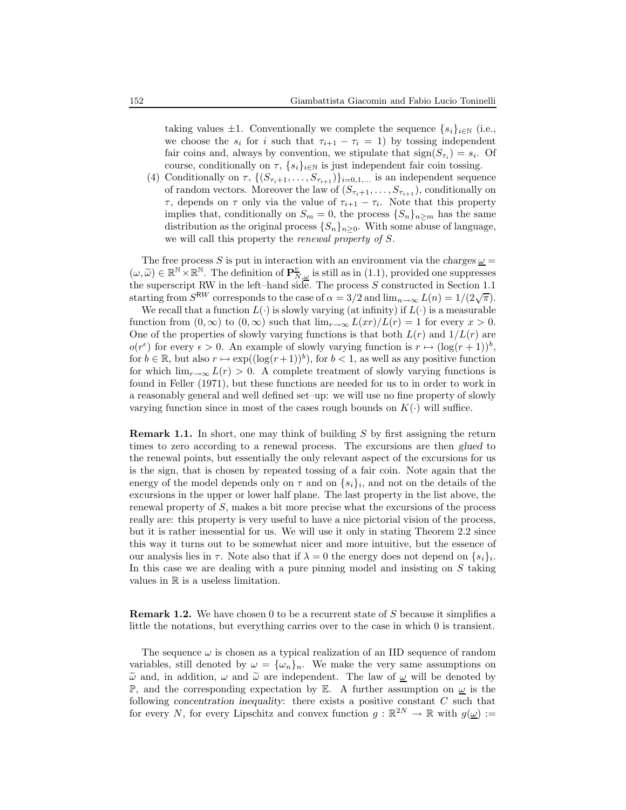taking values  $\pm 1$ . Conventionally we complete the sequence  $\{s_i\}_{i\in\mathbb{N}}$  (i.e., we choose the  $s_i$  for i such that  $\tau_{i+1} - \tau_i = 1$ ) by tossing independent fair coins and, always by convention, we stipulate that  $sign(S_{\tau_i}) = s_i$ . Of course, conditionally on  $\tau$ ,  $\{s_i\}_{i\in\mathbb{N}}$  is just independent fair coin tossing.

(4) Conditionally on  $\tau$ ,  $\{(S_{\tau_{i+1}}, \ldots, S_{\tau_{i+1}})\}_{i=0,1,\ldots}$  is an independent sequence of random vectors. Moreover the law of  $(S_{\tau_{i}+1}, \ldots, S_{\tau_{i+1}})$ , conditionally on  $\tau$ , depends on  $\tau$  only via the value of  $\tau_{i+1} - \tau_i$ . Note that this property implies that, conditionally on  $S_m = 0$ , the process  $\{S_n\}_{n \geq m}$  has the same distribution as the original process  $\{S_n\}_{n\geq 0}$ . With some abuse of language, we will call this property the *renewal property of S*.

The free process S is put in interaction with an environment via the charges  $\omega$  =  $(\omega, \tilde{\omega}) \in \mathbb{R}^N \times \mathbb{R}^N$ . The definition of  $\mathbf{P}_{N, \omega}^{\nu}$  is still as in (1.1), provided one suppresses the superscript RW in the left–hand side. The process  $S$  constructed in Section 1.1 starting from  $S^{RW}$  corresponds to the case of  $\alpha = 3/2$  and  $\lim_{n\to\infty} L(n) = 1/(2\sqrt{\pi}).$ 

We recall that a function  $L(\cdot)$  is slowly varying (at infinity) if  $L(\cdot)$  is a measurable function from  $(0, \infty)$  to  $(0, \infty)$  such that  $\lim_{r\to\infty} L(xr)/L(r) = 1$  for every  $x > 0$ . One of the properties of slowly varying functions is that both  $L(r)$  and  $1/L(r)$  are  $o(r^{\epsilon})$  for every  $\epsilon > 0$ . An example of slowly varying function is  $r \mapsto (\log(r+1))^{b}$ , for  $b \in \mathbb{R}$ , but also  $r \mapsto \exp((\log(r+1))^b)$ , for  $b < 1$ , as well as any positive function for which  $\lim_{r\to\infty} L(r) > 0$ . A complete treatment of slowly varying functions is found in Feller (1971), but these functions are needed for us to in order to work in a reasonably general and well defined set–up: we will use no fine property of slowly varying function since in most of the cases rough bounds on  $K(\cdot)$  will suffice.

**Remark 1.1.** In short, one may think of building S by first assigning the return times to zero according to a renewal process. The excursions are then glued to the renewal points, but essentially the only relevant aspect of the excursions for us is the sign, that is chosen by repeated tossing of a fair coin. Note again that the energy of the model depends only on  $\tau$  and on  $\{s_i\}_i$ , and not on the details of the excursions in the upper or lower half plane. The last property in the list above, the renewal property of S, makes a bit more precise what the excursions of the process really are: this property is very useful to have a nice pictorial vision of the process, but it is rather inessential for us. We will use it only in stating Theorem 2.2 since this way it turns out to be somewhat nicer and more intuitive, but the essence of our analysis lies in  $\tau$ . Note also that if  $\lambda = 0$  the energy does not depend on  $\{s_i\}_i$ . In this case we are dealing with a pure pinning model and insisting on  $S$  taking values in  $\mathbb R$  is a useless limitation.

Remark 1.2. We have chosen 0 to be a recurrent state of S because it simplifies a little the notations, but everything carries over to the case in which 0 is transient.

The sequence  $\omega$  is chosen as a typical realization of an IID sequence of random variables, still denoted by  $\omega = {\{\omega_n\}_n}$ . We make the very same assumptions on  $\tilde{\omega}$  and, in addition,  $\omega$  and  $\tilde{\omega}$  are independent. The law of  $\omega$  will be denoted by P, and the corresponding expectation by E. A further assumption on  $\omega$  is the following concentration inequality: there exists a positive constant C such that for every N, for every Lipschitz and convex function  $g : \mathbb{R}^{2N} \to \mathbb{R}$  with  $g(\underline{\omega}) :=$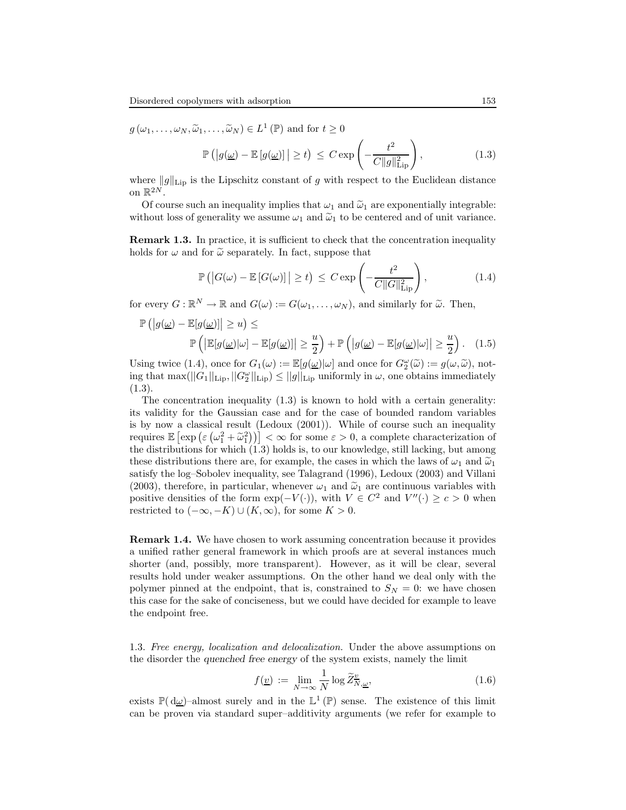$g(\omega_1,\ldots,\omega_N,\widetilde{\omega}_1,\ldots,\widetilde{\omega}_N) \in L^1(\mathbb{P})$  and for  $t \geq 0$ 

$$
\mathbb{P}\left(\left|g(\underline{\omega}) - \mathbb{E}\left[g(\underline{\omega})\right]\right| \ge t\right) \le C \exp\left(-\frac{t^2}{C\|g\|_{\text{Lip}}^2}\right),\tag{1.3}
$$

where  $||g||_{\text{Lip}}$  is the Lipschitz constant of g with respect to the Euclidean distance on  $\mathbb{R}^{2N}$ .

Of course such an inequality implies that  $\omega_1$  and  $\tilde{\omega}_1$  are exponentially integrable: without loss of generality we assume  $\omega_1$  and  $\tilde{\omega}_1$  to be centered and of unit variance.

Remark 1.3. In practice, it is sufficient to check that the concentration inequality holds for  $\omega$  and for  $\tilde{\omega}$  separately. In fact, suppose that

$$
\mathbb{P}\left(\left|G(\omega) - \mathbb{E}\left[G(\omega)\right]\right| \ge t\right) \le C \exp\left(-\frac{t^2}{C\|G\|_{\text{Lip}}^2}\right),\tag{1.4}
$$

for every  $G : \mathbb{R}^N \to \mathbb{R}$  and  $G(\omega) := G(\omega_1, \dots, \omega_N)$ , and similarly for  $\widetilde{\omega}$ . Then,

$$
\mathbb{P}\left(\left|g(\underline{\omega}) - \mathbb{E}[g(\underline{\omega})]\right| \ge u\right) \le \mathbb{P}\left(\left|\mathbb{E}[g(\underline{\omega})|\omega] - \mathbb{E}[g(\underline{\omega})]\right| \ge \frac{u}{2}\right) + \mathbb{P}\left(\left|g(\underline{\omega}) - \mathbb{E}[g(\underline{\omega})|\omega]\right| \ge \frac{u}{2}\right). \quad (1.5)
$$

Using twice  $(1.4)$ , once for  $G_1(\omega) := \mathbb{E}[g(\omega)|\omega]$  and once for  $G_{\omega}^{\omega}(\tilde{\omega}) := g(\omega, \tilde{\omega})$ , not-<br>in a that we call  $G \perp \square$   $G(\omega)$ ing that  $\max(||G_1||_{\text{Lip}}, ||G_2^{\omega}||_{\text{Lip}}) \le ||g||_{\text{Lip}}$  uniformly in  $\omega$ , one obtains immediately (1.3).

The concentration inequality  $(1.3)$  is known to hold with a certain generality: its validity for the Gaussian case and for the case of bounded random variables is by now a classical result (Ledoux (2001)). While of course such an inequality requires  $\mathbb{E} \left[ \exp \left( \varepsilon \left( \omega_1^2 + \tilde{\omega}_1^2 \right) \right) \right] < \infty$  for some  $\varepsilon > 0$ , a complete characterization of the distributions for which  $(1.3)$  holds is, to our knowledge, still lacking, but among these distributions there are, for example, the cases in which the laws of  $\omega_1$  and  $\tilde{\omega}_1$ satisfy the log–Sobolev inequality, see Talagrand (1996), Ledoux (2003) and Villani (2003), therefore, in particular, whenever  $\omega_1$  and  $\tilde{\omega}_1$  are continuous variables with positive densities of the form  $\exp(-V(\cdot))$ , with  $V \in C^2$  and  $V''(\cdot) \ge c > 0$  when restricted to  $(-\infty, -K) \cup (K, \infty)$ , for some  $K > 0$ .

Remark 1.4. We have chosen to work assuming concentration because it provides a unified rather general framework in which proofs are at several instances much shorter (and, possibly, more transparent). However, as it will be clear, several results hold under weaker assumptions. On the other hand we deal only with the polymer pinned at the endpoint, that is, constrained to  $S_N = 0$ : we have chosen this case for the sake of conciseness, but we could have decided for example to leave the endpoint free.

1.3. Free energy, localization and delocalization. Under the above assumptions on the disorder the quenched free energy of the system exists, namely the limit

$$
f(\underline{v}) := \lim_{N \to \infty} \frac{1}{N} \log \widetilde{Z}_{N,\underline{\omega}}^{\underline{v}}, \tag{1.6}
$$

exists  $\mathbb{P}(\mathrm{d}\omega)$ -almost surely and in the  $\mathbb{L}^1(\mathbb{P})$  sense. The existence of this limit can be proven via standard super–additivity arguments (we refer for example to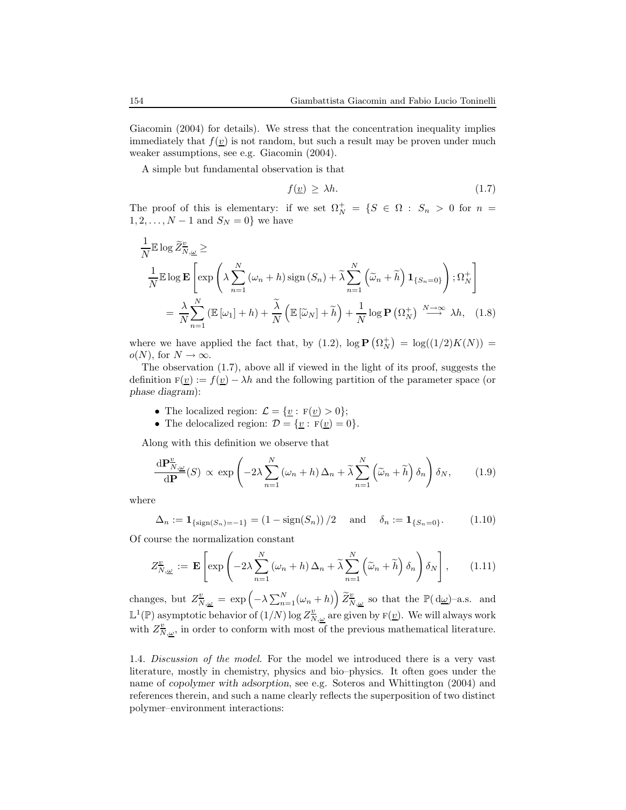Giacomin (2004) for details). We stress that the concentration inequality implies immediately that  $f(\underline{v})$  is not random, but such a result may be proven under much weaker assumptions, see e.g. Giacomin (2004).

A simple but fundamental observation is that

$$
f(\underline{v}) \ge \lambda h. \tag{1.7}
$$

The proof of this is elementary: if we set  $\Omega_N^+ = \{S \in \Omega : S_n > 0 \text{ for } n = \Omega\}$  $1, 2, ..., N - 1$  and  $S_N = 0$ } we have

$$
\frac{1}{N} \mathbb{E} \log \widetilde{Z}_{N,\underline{\omega}}^{\underline{v}} \ge
$$
\n
$$
\frac{1}{N} \mathbb{E} \log \mathbf{E} \left[ \exp \left( \lambda \sum_{n=1}^{N} (\omega_n + h) \operatorname{sign}(S_n) + \widetilde{\lambda} \sum_{n=1}^{N} (\widetilde{\omega}_n + \widetilde{h}) \mathbf{1}_{\{S_n = 0\}} \right); \Omega_N^+ \right]
$$
\n
$$
= \frac{\lambda}{N} \sum_{n=1}^{N} (\mathbb{E} [\omega_1] + h) + \frac{\widetilde{\lambda}}{N} (\mathbb{E} [\widetilde{\omega}_N] + \widetilde{h}) + \frac{1}{N} \log \mathbf{P} (\Omega_N^+) \stackrel{N \to \infty}{\longrightarrow} \lambda h, \quad (1.8)
$$

where we have applied the fact that, by (1.2),  $\log P(\Omega_N^+) = \log((1/2)K(N)) =$  $o(N)$ , for  $N \to \infty$ .

The observation (1.7), above all if viewed in the light of its proof, suggests the definition  $F(v) := f(v) - \lambda h$  and the following partition of the parameter space (or phase diagram):

- The localized region:  $\mathcal{L} = {\underline{v} : \mathbf{F}(\underline{v}) > 0};$
- The delocalized region:  $\mathcal{D} = \{ \underline{v} : F(\underline{v}) = 0 \}.$

Along with this definition we observe that

$$
\frac{\mathrm{d} \mathbf{P}_{N,\underline{\omega}}^{\underline{v}}}{\mathrm{d} \mathbf{P}}(S) \propto \exp\left(-2\lambda \sum_{n=1}^{N} \left(\omega_n + h\right) \Delta_n + \widetilde{\lambda} \sum_{n=1}^{N} \left(\widetilde{\omega}_n + \widetilde{h}\right) \delta_n\right) \delta_N, \tag{1.9}
$$

where

$$
\Delta_n := \mathbf{1}_{\{\text{sign}(S_n) = -1\}} = (1 - \text{sign}(S_n)) / 2 \quad \text{and} \quad \delta_n := \mathbf{1}_{\{S_n = 0\}}.
$$
 (1.10)

Of course the normalization constant

$$
Z_{\overline{N},\underline{\omega}}^{\underline{v}} := \mathbf{E}\left[\exp\left(-2\lambda \sum_{n=1}^{N} (\omega_n + h) \Delta_n + \widetilde{\lambda} \sum_{n=1}^{N} (\widetilde{\omega}_n + \widetilde{h}) \delta_n\right) \delta_N\right],\qquad(1.11)
$$

changes, but  $Z_{N,\underline{\omega}}^{\underline{v}} = \exp \left( -\lambda \sum_{n=1}^{N} (\omega_n + h) \right) \widetilde{Z}_{N,\underline{\omega}}^{\underline{v}}$  so that the  $\mathbb{P}(\mathrm{d}\underline{\omega})$ -a.s. and  $\mathbb{L}^1(\mathbb{P})$  asymptotic behavior of  $(1/N)$  log  $Z^{\underline{v}}_{N,\underline{\omega}}$  are given by  $F(\underline{v})$ . We will always work with  $Z_{N,\underline{\omega}}^{\underline{v}}$ , in order to conform with most of the previous mathematical literature.

1.4. Discussion of the model. For the model we introduced there is a very vast literature, mostly in chemistry, physics and bio–physics. It often goes under the name of copolymer with adsorption, see e.g. Soteros and Whittington (2004) and references therein, and such a name clearly reflects the superposition of two distinct polymer–environment interactions: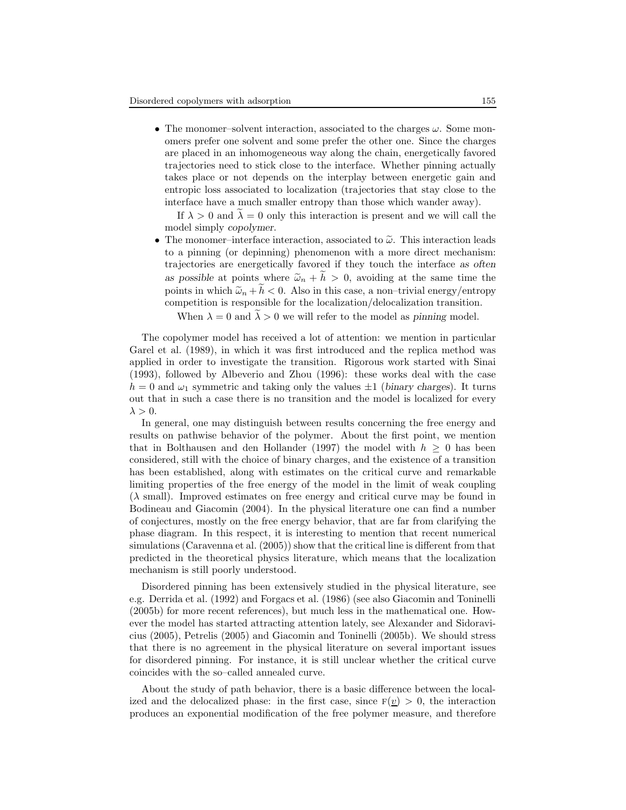• The monomer–solvent interaction, associated to the charges  $\omega$ . Some monomers prefer one solvent and some prefer the other one. Since the charges are placed in an inhomogeneous way along the chain, energetically favored trajectories need to stick close to the interface. Whether pinning actually takes place or not depends on the interplay between energetic gain and entropic loss associated to localization (trajectories that stay close to the interface have a much smaller entropy than those which wander away).

If  $\lambda > 0$  and  $\tilde{\lambda} = 0$  only this interaction is present and we will call the model simply copolymer.

• The monomer–interface interaction, associated to  $\tilde{\omega}$ . This interaction leads to a pinning (or depinning) phenomenon with a more direct mechanism: trajectories are energetically favored if they touch the interface as often as possible at points where  $\tilde{\omega}_n + \tilde{h} > 0$ , avoiding at the same time the points in which  $\tilde{\omega}_n + \tilde{h} < 0$ . Also in this case, a non-trivial energy/entropy competition is responsible for the localization/delocalization transition.

When  $\lambda = 0$  and  $\lambda > 0$  we will refer to the model as pinning model.

The copolymer model has received a lot of attention: we mention in particular Garel et al. (1989), in which it was first introduced and the replica method was applied in order to investigate the transition. Rigorous work started with Sinai (1993), followed by Albeverio and Zhou (1996): these works deal with the case  $h = 0$  and  $\omega_1$  symmetric and taking only the values  $\pm 1$  (binary charges). It turns out that in such a case there is no transition and the model is localized for every  $\lambda > 0$ .

In general, one may distinguish between results concerning the free energy and results on pathwise behavior of the polymer. About the first point, we mention that in Bolthausen and den Hollander (1997) the model with  $h \geq 0$  has been considered, still with the choice of binary charges, and the existence of a transition has been established, along with estimates on the critical curve and remarkable limiting properties of the free energy of the model in the limit of weak coupling  $(\lambda \text{ small})$ . Improved estimates on free energy and critical curve may be found in Bodineau and Giacomin (2004). In the physical literature one can find a number of conjectures, mostly on the free energy behavior, that are far from clarifying the phase diagram. In this respect, it is interesting to mention that recent numerical simulations (Caravenna et al. (2005)) show that the critical line is different from that predicted in the theoretical physics literature, which means that the localization mechanism is still poorly understood.

Disordered pinning has been extensively studied in the physical literature, see e.g. Derrida et al. (1992) and Forgacs et al. (1986) (see also Giacomin and Toninelli (2005b) for more recent references), but much less in the mathematical one. However the model has started attracting attention lately, see Alexander and Sidoravicius (2005), Petrelis (2005) and Giacomin and Toninelli (2005b). We should stress that there is no agreement in the physical literature on several important issues for disordered pinning. For instance, it is still unclear whether the critical curve coincides with the so–called annealed curve.

About the study of path behavior, there is a basic difference between the localized and the delocalized phase: in the first case, since  $F(v) > 0$ , the interaction produces an exponential modification of the free polymer measure, and therefore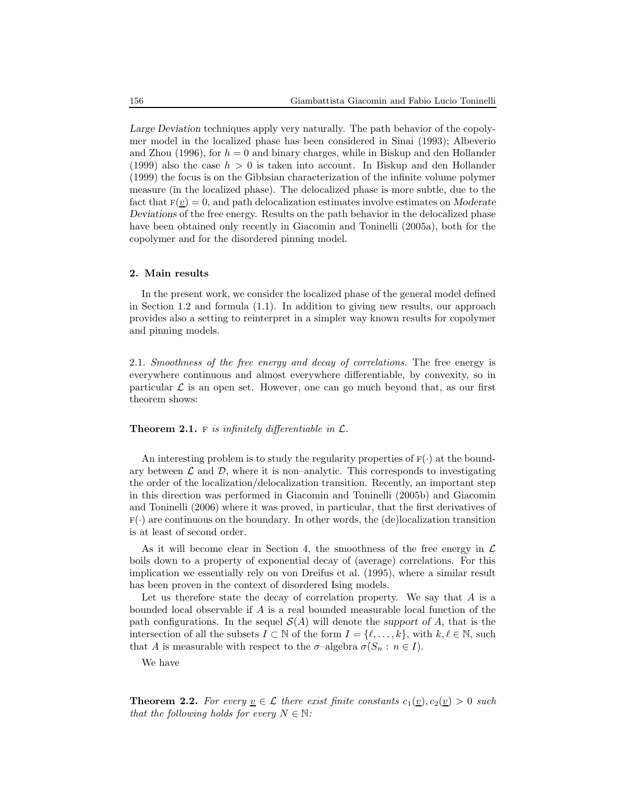Large Deviation techniques apply very naturally. The path behavior of the copolymer model in the localized phase has been considered in Sinai (1993); Albeverio and Zhou (1996), for  $h = 0$  and binary charges, while in Biskup and den Hollander (1999) also the case  $h > 0$  is taken into account. In Biskup and den Hollander (1999) the focus is on the Gibbsian characterization of the infinite volume polymer measure (in the localized phase). The delocalized phase is more subtle, due to the fact that  $F(v) = 0$ , and path delocalization estimates involve estimates on Moderate Deviations of the free energy. Results on the path behavior in the delocalized phase have been obtained only recently in Giacomin and Toninelli (2005a), both for the copolymer and for the disordered pinning model.

## 2. Main results

In the present work, we consider the localized phase of the general model defined in Section 1.2 and formula (1.1). In addition to giving new results, our approach provides also a setting to reinterpret in a simpler way known results for copolymer and pinning models.

2.1. Smoothness of the free energy and decay of correlations. The free energy is everywhere continuous and almost everywhere differentiable, by convexity, so in particular  $\mathcal L$  is an open set. However, one can go much beyond that, as our first theorem shows:

## **Theorem 2.1.** F is infinitely differentiable in  $\mathcal{L}$ .

An interesting problem is to study the regularity properties of  $F(\cdot)$  at the boundary between  $\mathcal L$  and  $\mathcal D$ , where it is non–analytic. This corresponds to investigating the order of the localization/delocalization transition. Recently, an important step in this direction was performed in Giacomin and Toninelli (2005b) and Giacomin and Toninelli (2006) where it was proved, in particular, that the first derivatives of  $F(\cdot)$  are continuous on the boundary. In other words, the (de)localization transition is at least of second order.

As it will become clear in Section 4, the smoothness of the free energy in  $\mathcal L$ boils down to a property of exponential decay of (average) correlations. For this implication we essentially rely on von Dreifus et al. (1995), where a similar result has been proven in the context of disordered Ising models.

Let us therefore state the decay of correlation property. We say that  $A$  is a bounded local observable if A is a real bounded measurable local function of the path configurations. In the sequel  $\mathcal{S}(A)$  will denote the support of A, that is the intersection of all the subsets  $I \subset \mathbb{N}$  of the form  $I = \{ \ell, \ldots, k \}$ , with  $k, \ell \in \mathbb{N}$ , such that A is measurable with respect to the  $\sigma$ -algebra  $\sigma(S_n : n \in I)$ .

We have

**Theorem 2.2.** For every  $v \in \mathcal{L}$  there exist finite constants  $c_1(v), c_2(v) > 0$  such that the following holds for every  $N \in \mathbb{N}$ :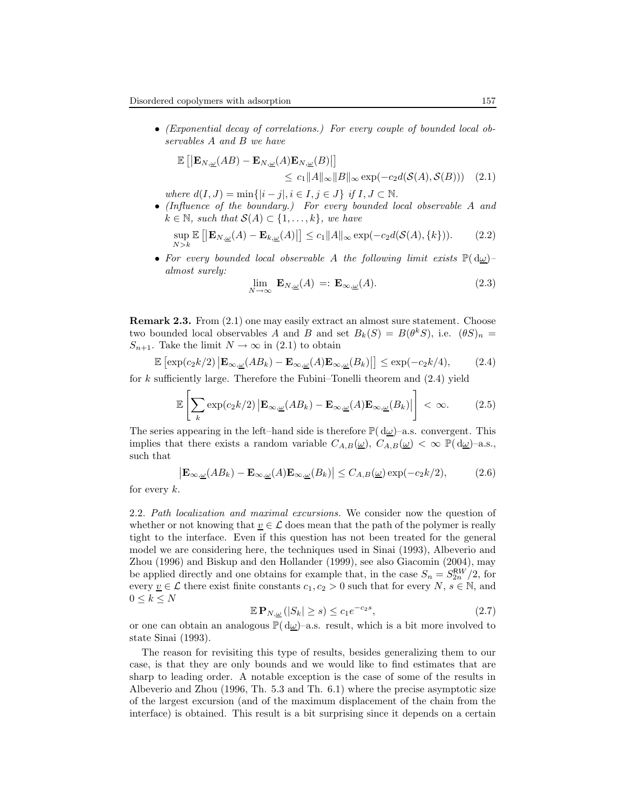• (Exponential decay of correlations.) For every couple of bounded local observables A and B we have

$$
\mathbb{E}\left[\left|\mathbf{E}_{N,\underline{\omega}}(AB) - \mathbf{E}_{N,\underline{\omega}}(A)\mathbf{E}_{N,\underline{\omega}}(B)\right|\right] \le c_1 \|A\|_{\infty} \|B\|_{\infty} \exp(-c_2 d(\mathcal{S}(A), \mathcal{S}(B))) \quad (2.1)
$$

where  $d(I, J) = \min\{|i - j|, i \in I, j \in J\}$  if  $I, J \subset \mathbb{N}$ .

• (Influence of the boundary.) For every bounded local observable A and  $k \in \mathbb{N}$ , such that  $\mathcal{S}(A) \subset \{1, \ldots, k\}$ , we have

$$
\sup_{N>k} \mathbb{E}\left[\left|\mathbf{E}_{N,\underline{\omega}}(A)-\mathbf{E}_{k,\underline{\omega}}(A)\right|\right] \le c_1 \|A\|_{\infty} \exp(-c_2 d(\mathcal{S}(A), \{k\})).\tag{2.2}
$$

• For every bounded local observable A the following limit exists  $\mathbb{P}(\mathrm{d}\omega)$ almost surely:

$$
\lim_{N \to \infty} \mathbf{E}_{N,\underline{\omega}}(A) =: \mathbf{E}_{\infty,\underline{\omega}}(A). \tag{2.3}
$$

Remark 2.3. From (2.1) one may easily extract an almost sure statement. Choose two bounded local observables A and B and set  $B_k(S) = B(\theta^k S)$ , i.e.  $(\theta S)_n =$  $S_{n+1}$ . Take the limit  $N \to \infty$  in (2.1) to obtain

$$
\mathbb{E}\left[\exp(c_2k/2)\left|\mathbf{E}_{\infty,\underline{\omega}}(AB_k)-\mathbf{E}_{\infty,\underline{\omega}}(A)\mathbf{E}_{\infty,\underline{\omega}}(B_k)\right|\right] \leq \exp(-c_2k/4),\tag{2.4}
$$

for k sufficiently large. Therefore the Fubini–Tonelli theorem and  $(2.4)$  yield

$$
\mathbb{E}\left[\sum_{k}\exp(c_{2}k/2)\left|\mathbf{E}_{\infty,\underline{\omega}}(AB_{k})-\mathbf{E}_{\infty,\underline{\omega}}(A)\mathbf{E}_{\infty,\underline{\omega}}(B_{k})\right|\right]<\infty.
$$
 (2.5)

The series appearing in the left–hand side is therefore  $\mathbb{P}(\,d\omega)$ –a.s. convergent. This implies that there exists a random variable  $C_{A,B}(\underline{\omega})$ ,  $C_{A,B}(\underline{\omega}) < \infty \mathbb{P}(\mathrm{d}\underline{\omega})$ -a.s., such that

$$
\left| \mathbf{E}_{\infty,\underline{\omega}}(AB_k) - \mathbf{E}_{\infty,\underline{\omega}}(A) \mathbf{E}_{\infty,\underline{\omega}}(B_k) \right| \le C_{A,B}(\underline{\omega}) \exp(-c_2 k/2),\tag{2.6}
$$

for every  $k$ .

2.2. Path localization and maximal excursions. We consider now the question of whether or not knowing that  $v \in \mathcal{L}$  does mean that the path of the polymer is really tight to the interface. Even if this question has not been treated for the general model we are considering here, the techniques used in Sinai (1993), Albeverio and Zhou (1996) and Biskup and den Hollander (1999), see also Giacomin (2004), may be applied directly and one obtains for example that, in the case  $S_n = S_{2n}^{RW}/2$ , for every  $\underline{v} \in \mathcal{L}$  there exist finite constants  $c_1, c_2 > 0$  such that for every  $N, s \in \mathbb{N}$ , and  $0 \leq k \leq N$ 

$$
\mathbb{E} \mathbf{P}_{N,\underline{\omega}} \left( |S_k| \ge s \right) \le c_1 e^{-c_2 s},\tag{2.7}
$$

or one can obtain an analogous  $\mathbb{P}(\,d\omega)$ –a.s. result, which is a bit more involved to state Sinai (1993).

The reason for revisiting this type of results, besides generalizing them to our case, is that they are only bounds and we would like to find estimates that are sharp to leading order. A notable exception is the case of some of the results in Albeverio and Zhou (1996, Th. 5.3 and Th. 6.1) where the precise asymptotic size of the largest excursion (and of the maximum displacement of the chain from the interface) is obtained. This result is a bit surprising since it depends on a certain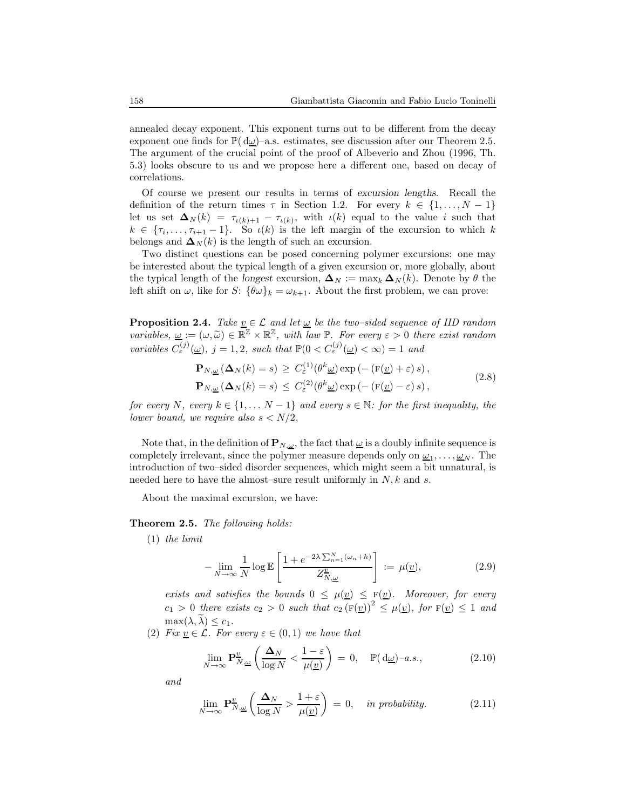annealed decay exponent. This exponent turns out to be different from the decay exponent one finds for  $\mathbb{P}(\mathbf{d}\underline{\omega})$ –a.s. estimates, see discussion after our Theorem 2.5. The argument of the crucial point of the proof of Albeverio and Zhou (1996, Th. 5.3) looks obscure to us and we propose here a different one, based on decay of correlations.

Of course we present our results in terms of excursion lengths. Recall the definition of the return times  $\tau$  in Section 1.2. For every  $k \in \{1, ..., N-1\}$ let us set  $\Delta_N(k) = \tau_{\iota(k)+1} - \tau_{\iota(k)}$ , with  $\iota(k)$  equal to the value i such that  $k \in \{\tau_i, \ldots, \tau_{i+1}-1\}$ . So  $\iota(k)$  is the left margin of the excursion to which k belongs and  $\Delta_N(k)$  is the length of such an excursion.

Two distinct questions can be posed concerning polymer excursions: one may be interested about the typical length of a given excursion or, more globally, about the typical length of the longest excursion,  $\Delta_N := \max_k \Delta_N(k)$ . Denote by  $\theta$  the left shift on  $\omega$ , like for S:  $\{\theta\omega\}_k = \omega_{k+1}$ . About the first problem, we can prove:

**Proposition 2.4.** Take  $\underline{v} \in \mathcal{L}$  and let  $\underline{w}$  be the two–sided sequence of IID random variables,  $\underline{\omega} := (\omega, \widetilde{\omega}) \in \mathbb{R}^{\mathbb{Z}} \times \mathbb{R}^{\mathbb{Z}}$ , with law  $\mathbb{P}$ . For every  $\varepsilon > 0$  there exist random variables  $C_{\varepsilon}^{(j)}(\underline{\omega})$ , j = 1, 2, such that  $\mathbb{P}(0 < C_{\varepsilon}^{(j)}(\underline{\omega}) < \infty) = 1$  and

$$
\mathbf{P}_{N,\underline{\omega}}\left(\Delta_{N}(k) = s\right) \ge C_{\varepsilon}^{(1)}\left(\theta^{k}\underline{\omega}\right) \exp\left(-\left(\mathbf{F}(\underline{v}) + \varepsilon\right)s\right),
$$
\n
$$
\mathbf{P}_{N,\underline{\omega}}\left(\Delta_{N}(k) = s\right) \le C_{\varepsilon}^{(2)}\left(\theta^{k}\underline{\omega}\right) \exp\left(-\left(\mathbf{F}(\underline{v}) - \varepsilon\right)s\right),
$$
\n(2.8)

for every N, every  $k \in \{1, \ldots N-1\}$  and every  $s \in \mathbb{N}$ : for the first inequality, the lower bound, we require also  $s < N/2$ .

Note that, in the definition of  $\mathbf{P}_{N,\omega}$ , the fact that  $\omega$  is a doubly infinite sequence is completely irrelevant, since the polymer measure depends only on  $\underline{\omega}_1, \ldots, \underline{\omega}_N$ . The introduction of two–sided disorder sequences, which might seem a bit unnatural, is needed here to have the almost–sure result uniformly in  $N, k$  and s.

About the maximal excursion, we have:

## Theorem 2.5. The following holds:

(1) the limit

$$
-\lim_{N \to \infty} \frac{1}{N} \log \mathbb{E} \left[ \frac{1 + e^{-2\lambda \sum_{n=1}^{N} (\omega_n + h)}}{Z_{N, \underline{\omega}}^{\underline{v}}} \right] := \mu(\underline{v}), \tag{2.9}
$$

exists and satisfies the bounds  $0 \leq \mu(\underline{v}) \leq F(\underline{v})$ . Moreover, for every  $c_1 > 0$  there exists  $c_2 > 0$  such that  $c_2 \left(\mathbf{F}(\underline{v})\right)^2 \leq \mu(\underline{v})$ , for  $\mathbf{F}(\underline{v}) \leq 1$  and  $\max(\lambda, \lambda) \leq c_1$ .

(2) Fix  $\underline{v} \in \mathcal{L}$ . For every  $\varepsilon \in (0,1)$  we have that

$$
\lim_{N \to \infty} \mathbf{P}_{N,\underline{\omega}}^{\underline{v}} \left( \frac{\Delta_N}{\log N} < \frac{1 - \varepsilon}{\mu(\underline{v})} \right) = 0, \quad \mathbb{P}(\mathrm{d}\underline{\omega}) - a.s., \tag{2.10}
$$

and

$$
\lim_{N \to \infty} \mathbf{P}_{N,\underline{\omega}}^{\underline{v}} \left( \frac{\Delta_N}{\log N} > \frac{1+\varepsilon}{\mu(\underline{v})} \right) = 0, \quad \text{in probability.} \tag{2.11}
$$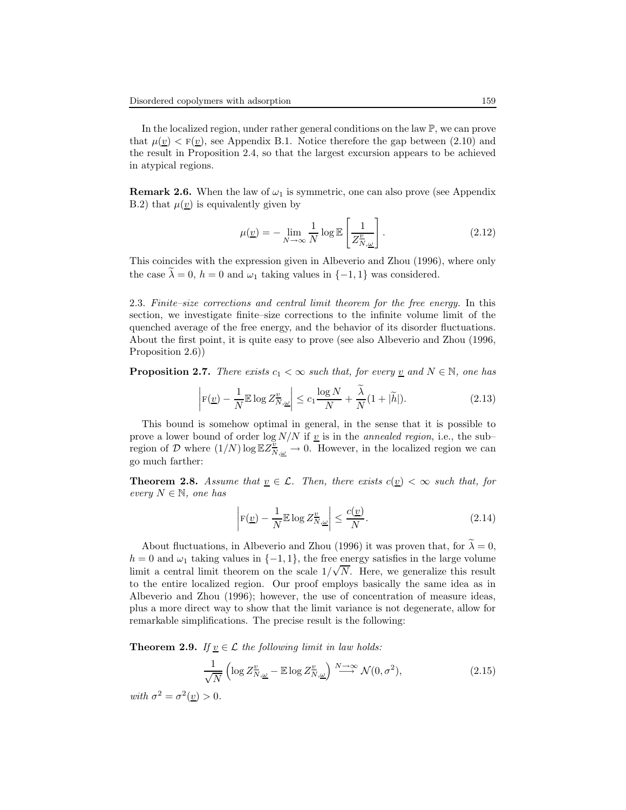In the localized region, under rather general conditions on the law P, we can prove that  $\mu(\underline{v}) < F(\underline{v})$ , see Appendix B.1. Notice therefore the gap between (2.10) and the result in Proposition 2.4, so that the largest excursion appears to be achieved in atypical regions.

**Remark 2.6.** When the law of  $\omega_1$  is symmetric, one can also prove (see Appendix B.2) that  $\mu(v)$  is equivalently given by

$$
\mu(\underline{v}) = -\lim_{N \to \infty} \frac{1}{N} \log \mathbb{E} \left[ \frac{1}{Z_{N,\underline{\omega}}^{\underline{v}}} \right].
$$
\n(2.12)

This coincides with the expression given in Albeverio and Zhou (1996), where only the case  $\lambda = 0$ ,  $h = 0$  and  $\omega_1$  taking values in  $\{-1, 1\}$  was considered.

2.3. Finite–size corrections and central limit theorem for the free energy. In this section, we investigate finite–size corrections to the infinite volume limit of the quenched average of the free energy, and the behavior of its disorder fluctuations. About the first point, it is quite easy to prove (see also Albeverio and Zhou (1996, Proposition 2.6)

**Proposition 2.7.** There exists  $c_1 < \infty$  such that, for every <u>v</u> and  $N \in \mathbb{N}$ , one has

$$
\left| \mathbf{F}(\underline{v}) - \frac{1}{N} \mathbb{E} \log Z_{N,\underline{\omega}}^{\underline{v}} \right| \le c_1 \frac{\log N}{N} + \frac{\widetilde{\lambda}}{N} (1 + |\widetilde{h}|). \tag{2.13}
$$

This bound is somehow optimal in general, in the sense that it is possible to prove a lower bound of order log  $N/N$  if v is in the *annealed region*, i.e., the subregion of D where  $(1/N) \log \mathbb{E} Z^{\frac{v}{N}}_{N,\underline{\omega}} \to 0$ . However, in the localized region we can go much farther:

**Theorem 2.8.** Assume that  $\underline{v} \in \mathcal{L}$ . Then, there exists  $c(\underline{v}) < \infty$  such that, for every  $N \in \mathbb{N}$ , one has

$$
\left| \mathbf{F}(\underline{v}) - \frac{1}{N} \mathbb{E} \log Z_{N,\underline{\omega}}^{\underline{v}} \right| \le \frac{c(\underline{v})}{N}.
$$
\n(2.14)

About fluctuations, in Albeverio and Zhou (1996) it was proven that, for  $\tilde{\lambda} = 0$ ,  $h = 0$  and  $\omega_1$  taking values in  $\{-1, 1\}$ , the free energy satisfies in the large volume limit a central limit theorem on the scale  $1/\sqrt{N}$ . Here, we generalize this result to the entire localized region. Our proof employs basically the same idea as in Albeverio and Zhou (1996); however, the use of concentration of measure ideas, plus a more direct way to show that the limit variance is not degenerate, allow for remarkable simplifications. The precise result is the following:

**Theorem 2.9.** If  $v \in \mathcal{L}$  the following limit in law holds:

$$
\frac{1}{\sqrt{N}} \left( \log Z^{\underline{v}}_{N,\underline{\omega}} - \mathbb{E} \log Z^{\underline{v}}_{N,\underline{\omega}} \right) \stackrel{N \to \infty}{\longrightarrow} \mathcal{N}(0, \sigma^2),\tag{2.15}
$$

with  $\sigma^2 = \sigma^2(\underline{v}) > 0$ .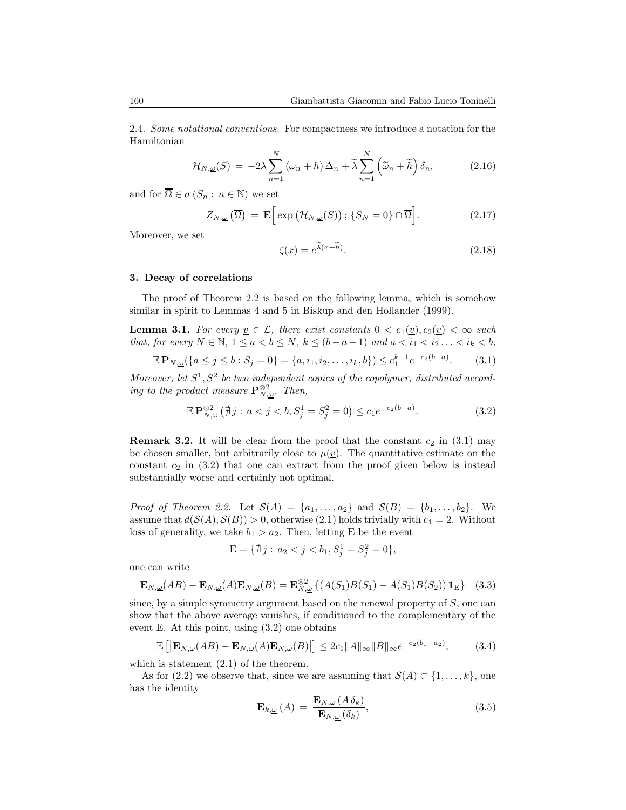2.4. Some notational conventions. For compactness we introduce a notation for the Hamiltonian

$$
\mathcal{H}_{N,\underline{\omega}}(S) = -2\lambda \sum_{n=1}^{N} (\omega_n + h) \Delta_n + \widetilde{\lambda} \sum_{n=1}^{N} (\widetilde{\omega}_n + \widetilde{h}) \delta_n, \tag{2.16}
$$

and for  $\overline{\Omega} \in \sigma(S_n : n \in \mathbb{N})$  we set

$$
Z_{N,\underline{\omega}}\left(\overline{\Omega}\right) = \mathbf{E}\Big[\exp\big(\mathcal{H}_{N,\underline{\omega}}(S)\big); \{S_N = 0\} \cap \overline{\Omega}\Big].\tag{2.17}
$$

Moreover, we set

$$
\zeta(x) = e^{\tilde{\lambda}(x+\tilde{h})}.\tag{2.18}
$$

#### 3. Decay of correlations

The proof of Theorem 2.2 is based on the following lemma, which is somehow similar in spirit to Lemmas 4 and 5 in Biskup and den Hollander (1999).

**Lemma 3.1.** For every  $\underline{v} \in \mathcal{L}$ , there exist constants  $0 < c_1(\underline{v}), c_2(\underline{v}) < \infty$  such that, for every  $N \in \mathbb{N}$ ,  $1 \le a < b \le N$ ,  $k \le (b - a - 1)$  and  $a < i_1 < i_2 \ldots < i_k < b$ ,

$$
\mathbb{E} \mathbf{P}_{N,\underline{\omega}}(\{a \le j \le b : S_j = 0\} = \{a, i_1, i_2, \dots, i_k, b\}) \le c_1^{k+1} e^{-c_2(b-a)}.\tag{3.1}
$$

Moreover, let  $S^1$ ,  $S^2$  be two independent copies of the copolymer, distributed according to the product measure  $\mathbf{P}_{N,\underline{\omega}}^{\otimes 2}$ . Then,

$$
\mathbb{E} \mathbf{P}_{N,\underline{\omega}}^{\otimes 2} \left( \nexists j : a < j < b, S_j^1 = S_j^2 = 0 \right) \le c_1 e^{-c_2(b-a)}.\tag{3.2}
$$

**Remark 3.2.** It will be clear from the proof that the constant  $c_2$  in (3.1) may be chosen smaller, but arbitrarily close to  $\mu(\underline{v})$ . The quantitative estimate on the constant  $c_2$  in (3.2) that one can extract from the proof given below is instead substantially worse and certainly not optimal.

*Proof of Theorem 2.2.* Let  $\mathcal{S}(A) = \{a_1, \ldots, a_2\}$  and  $\mathcal{S}(B) = \{b_1, \ldots, b_2\}$ . We assume that  $d(S(A), S(B)) > 0$ , otherwise (2.1) holds trivially with  $c_1 = 2$ . Without loss of generality, we take  $b_1 > a_2$ . Then, letting E be the event

$$
\mathcal{E} = \{ \nexists j : a_2 < j < b_1, S_j^1 = S_j^2 = 0 \},
$$

one can write

$$
\mathbf{E}_{N,\underline{\omega}}(AB) - \mathbf{E}_{N,\underline{\omega}}(A)\mathbf{E}_{N,\underline{\omega}}(B) = \mathbf{E}_{N,\underline{\omega}}^{\otimes 2} \left\{ (A(S_1)B(S_1) - A(S_1)B(S_2)) \mathbf{1}_{\mathcal{E}} \right\} \tag{3.3}
$$

since, by a simple symmetry argument based on the renewal property of  $S$ , one can show that the above average vanishes, if conditioned to the complementary of the event E. At this point, using (3.2) one obtains

$$
\mathbb{E}\left[\left|\mathbf{E}_{N,\underline{\omega}}(AB)-\mathbf{E}_{N,\underline{\omega}}(A)\mathbf{E}_{N,\underline{\omega}}(B)\right|\right] \leq 2c_1\|A\|_{\infty}\|B\|_{\infty}e^{-c_2(b_1-a_2)},\tag{3.4}
$$

which is statement  $(2.1)$  of the theorem.

As for (2.2) we observe that, since we are assuming that  $\mathcal{S}(A) \subset \{1, \ldots, k\}$ , one has the identity

$$
\mathbf{E}_{k,\underline{\omega}}\left(A\right) = \frac{\mathbf{E}_{N,\underline{\omega}}\left(A\,\delta_k\right)}{\mathbf{E}_{N,\underline{\omega}}\left(\delta_k\right)},\tag{3.5}
$$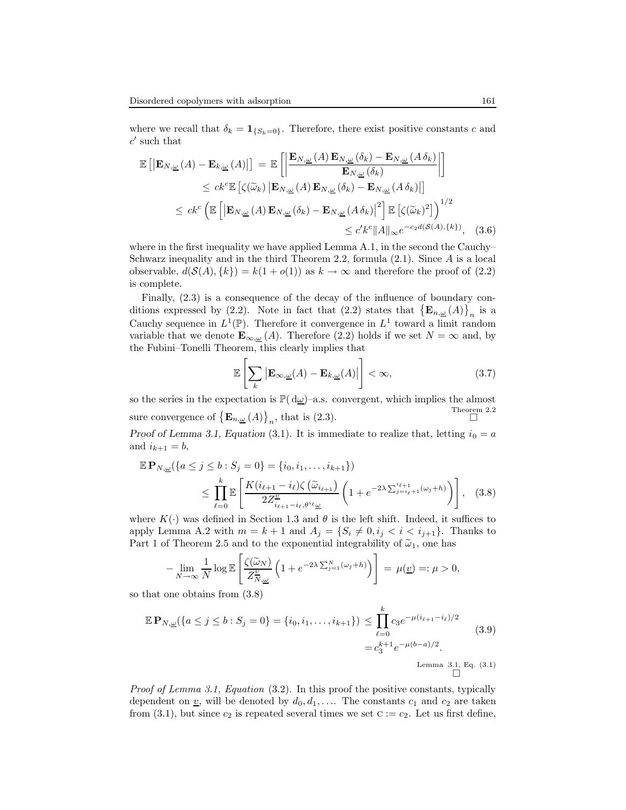where we recall that  $\delta_k = \mathbf{1}_{\{S_k=0\}}$ . Therefore, there exist positive constants c and  $c'$  such that

$$
\mathbb{E}\left[\left|\mathbf{E}_{N,\underline{\omega}}\left(A\right)-\mathbf{E}_{k,\underline{\omega}}\left(A\right)\right|\right] = \mathbb{E}\left[\left|\frac{\mathbf{E}_{N,\underline{\omega}}\left(A\right)\mathbf{E}_{N,\underline{\omega}}\left(\delta_{k}\right)-\mathbf{E}_{N,\underline{\omega}}\left(A\,\delta_{k}\right)}{\mathbf{E}_{N,\underline{\omega}}\left(\delta_{k}\right)}\right|\right] \n\leq ck^{c}\mathbb{E}\left[\zeta(\widetilde{\omega}_{k})\left|\mathbf{E}_{N,\underline{\omega}}\left(A\right)\mathbf{E}_{N,\underline{\omega}}\left(\delta_{k}\right)-\mathbf{E}_{N,\underline{\omega}}\left(A\,\delta_{k}\right)\right|\right] \n\leq ck^{c}\left(\mathbb{E}\left[\left|\mathbf{E}_{N,\underline{\omega}}\left(A\right)\mathbf{E}_{N,\underline{\omega}}\left(\delta_{k}\right)-\mathbf{E}_{N,\underline{\omega}}\left(A\,\delta_{k}\right)\right|^{2}\right]\mathbb{E}\left[\zeta(\widetilde{\omega}_{k})^{2}\right]\right)^{1/2} \n\leq c'k^{c}\|A\|_{\infty}e^{-c_{2}d(S(A),\{k\})}, \quad (3.6)
$$

where in the first inequality we have applied Lemma A.1, in the second the Cauchy– Schwarz inequality and in the third Theorem 2.2, formula (2.1). Since A is a local observable,  $d(S(A), \{k\}) = k(1 + o(1))$  as  $k \to \infty$  and therefore the proof of (2.2) is complete.

Finally, (2.3) is a consequence of the decay of the influence of boundary conditions expressed by (2.2). Note in fact that (2.2) states that  $\{\mathbf E_{n,\underline{\omega}}(A)\}\)n$  is a Cauchy sequence in  $L^1(\mathbb{P})$ . Therefore it convergence in  $L^1$  toward a limit random variable that we denote  $\mathbf{E}_{\infty,\omega}(A)$ . Therefore (2.2) holds if we set  $N = \infty$  and, by the Fubini–Tonelli Theorem, this clearly implies that

$$
\mathbb{E}\left[\sum_{k} \left| \mathbf{E}_{\infty,\underline{\omega}}(A) - \mathbf{E}_{k,\underline{\omega}}(A) \right| \right] < \infty,\tag{3.7}
$$

so the series in the expectation is  $\mathbb{P}(\mathrm{d}\underline{\omega})$ –a.s. convergent, which implies the almost sure convergence of  $\left\{ \mathbf{E}_{n,\underline{\omega}}(A) \right\}_n$ , that is (2.3). Theorem 2.2

Proof of Lemma 3.1, Equation (3.1). It is immediate to realize that, letting  $i_0 = a$ and  $i_{k+1} = b$ ,

$$
\mathbb{E} \mathbf{P}_{N,\underline{\omega}}(\{a \le j \le b : S_j = 0\} = \{i_0, i_1, \dots, i_{k+1}\})
$$
\n
$$
\le \prod_{\ell=0}^k \mathbb{E} \left[ \frac{K(i_{\ell+1} - i_{\ell})\zeta(\widetilde{\omega}_{i_{\ell+1}})}{2Z_{i_{\ell+1} - i_{\ell}, \theta^i \ell_{\underline{\omega}}}} \left(1 + e^{-2\lambda \sum_{j=i_{\ell}+1}^{i_{\ell+1}} (\omega_j + h)}\right) \right], \quad (3.8)
$$

where  $K(\cdot)$  was defined in Section 1.3 and  $\theta$  is the left shift. Indeed, it suffices to apply Lemma A.2 with  $m = k + 1$  and  $A_j = \{S_i \neq 0, i_j < i < i_{j+1}\}.$  Thanks to Part 1 of Theorem 2.5 and to the exponential integrability of  $\tilde{\omega}_1$ , one has

$$
-\lim_{N\to\infty}\frac{1}{N}\log\mathbb{E}\left[\frac{\zeta(\widetilde{\omega}_N)}{Z_{N,\underline{\omega}}^n}\left(1+e^{-2\lambda\sum_{j=1}^N(\omega_j+h)}\right)\right]=\mu(\underline{v})=:\mu>0,
$$

so that one obtains from (3.8)

$$
\mathbb{E} \mathbf{P}_{N,\underline{\omega}}(\{a \le j \le b : S_j = 0\} = \{i_0, i_1, \dots, i_{k+1}\}) \le \prod_{\ell=0}^k c_3 e^{-\mu(i_{\ell+1} - i_{\ell})/2}
$$
\n
$$
= c_3^{k+1} e^{-\mu(b-a)/2}.
$$
\nLemma 3.1, Eq. (3.1)

Proof of Lemma 3.1, Equation (3.2). In this proof the positive constants, typically dependent on <u>v</u>, will be denoted by  $d_0, d_1, \ldots$  The constants  $c_1$  and  $c_2$  are taken from (3.1), but since  $c_2$  is repeated several times we set  $c := c_2$ . Let us first define,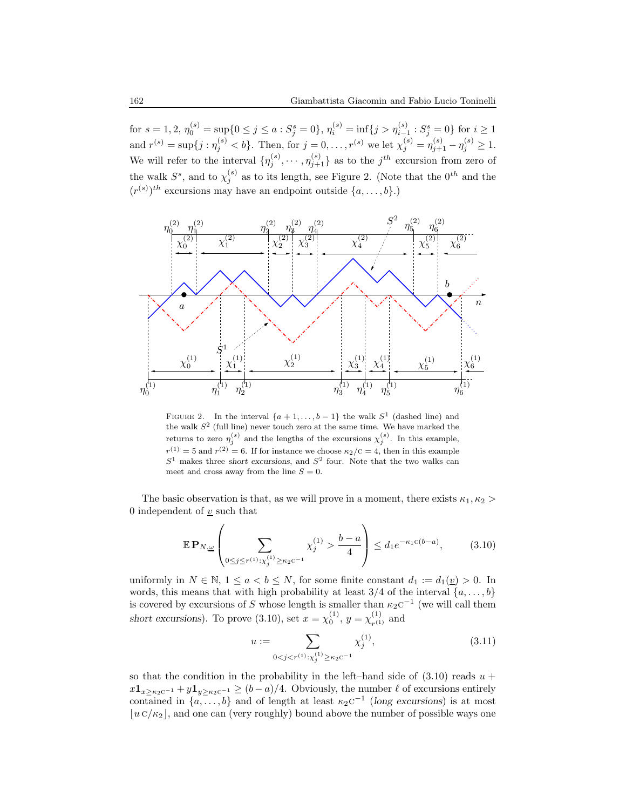for  $s = 1, 2, \eta_0^{(s)} = \sup\{0 \le j \le a : S_j^s = 0\}, \eta_i^{(s)} = \inf\{j > \eta_{i-1}^{(s)} : S_j^s = 0\}$  for  $i \ge 1$ and  $r^{(s)} = \sup\{j : \eta_j^{(s)} < b\}$ . Then, for  $j = 0, \ldots, r^{(s)}$  we let  $\chi_j^{(s)} = \eta_{j+1}^{(s)} - \eta_j^{(s)} \ge 1$ . We will refer to the interval  $\{\eta_j^{(s)}, \cdots, \eta_{j+1}^{(s)}\}$  as to the  $j^{th}$  excursion from zero of the walk  $S^s$ , and to  $\chi_i^{(s)}$  $j^{(s)}$  as to its length, see Figure 2. (Note that the  $0^{th}$  and the  $(r^{(s)})^{th}$  excursions may have an endpoint outside  $\{a, \ldots, b\}$ .)



FIGURE 2. In the interval  $\{a+1,\ldots,b-1\}$  the walk  $S^1$  (dashed line) and the walk  $S<sup>2</sup>$  (full line) never touch zero at the same time. We have marked the returns to zero  $\eta_j^{(s)}$  and the lengths of the excursions  $\chi_j^{(s)}$ . In this example,  $r^{(1)} = 5$  and  $r^{(2)} = 6$ . If for instance we choose  $\kappa_2/\text{C} = 4$ , then in this example  $S<sup>1</sup>$  makes three short excursions, and  $S<sup>2</sup>$  four. Note that the two walks can meet and cross away from the line  $S = 0$ .

The basic observation is that, as we will prove in a moment, there exists  $\kappa_1, \kappa_2 >$ 0 independent of  $\underline{v}$  such that

$$
\mathbb{E} \mathbf{P}_{N,\underline{\omega}} \left( \sum_{0 \le j \le r^{(1)} : \chi_j^{(1)} \ge \kappa_2 \mathbf{C}^{-1}} \chi_j^{(1)} > \frac{b-a}{4} \right) \le d_1 e^{-\kappa_1 \mathbf{C}(b-a)},\tag{3.10}
$$

uniformly in  $N \in \mathbb{N}$ ,  $1 \le a < b \le N$ , for some finite constant  $d_1 := d_1(\underline{v}) > 0$ . In words, this means that with high probability at least  $3/4$  of the interval  $\{a, \ldots, b\}$ is covered by excursions of S whose length is smaller than  $\kappa_2$ c<sup>-1</sup> (we will call them short excursions). To prove (3.10), set  $x = \chi_0^{(1)}$ ,  $y = \chi_{r^{(1)}}^{(1)}$  $_{r^{(1)}}^{(1)}$  and

$$
u := \sum_{0 < j < r^{(1)}: \chi_j^{(1)} \ge \kappa_2 c^{-1}} \chi_j^{(1)},\tag{3.11}
$$

so that the condition in the probability in the left–hand side of  $(3.10)$  reads  $u +$  $x\mathbf{1}_{x\geq\kappa_2\zeta^{-1}}+y\mathbf{1}_{y\geq\kappa_2\zeta^{-1}}\geq (b-a)/4.$  Obviously, the number  $\ell$  of excursions entirely contained in  $\{a, \ldots, b\}$  and of length at least  $\kappa_2$ c<sup>-1</sup> (long excursions) is at most  $|u C/\kappa_2|$ , and one can (very roughly) bound above the number of possible ways one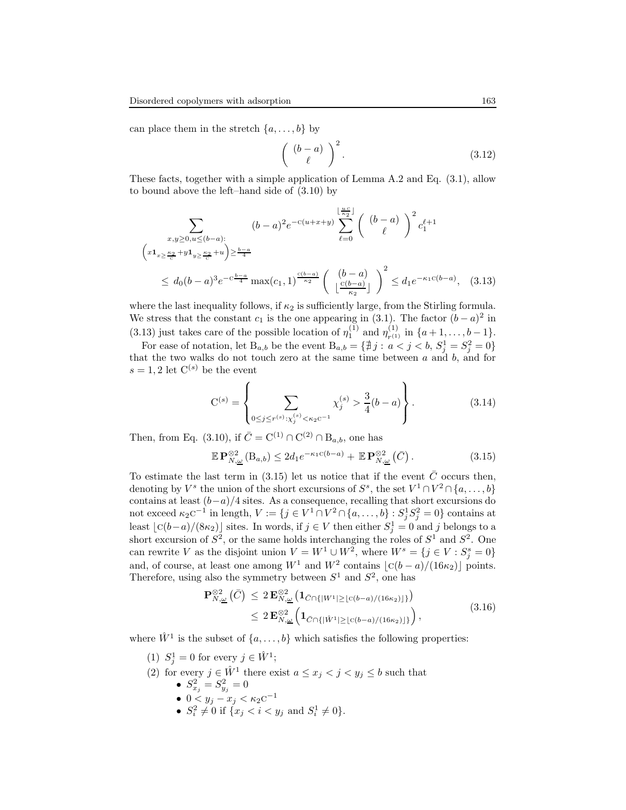can place them in the stretch  $\{a, \ldots, b\}$  by

$$
\left(\begin{array}{c} (b-a) \\ \ell \end{array}\right)^2.
$$
 (3.12)

These facts, together with a simple application of Lemma A.2 and Eq. (3.1), allow to bound above the left–hand side of (3.10) by

$$
\sum_{\substack{x,y \ge 0, u \le (b-a): \\ (x1_{x \ge \frac{\kappa_2}{c} + y1_{y \ge \frac{\kappa_2}{c} + u}) \ge \frac{b-a}{4}}} (b-a)^2 e^{-c(u+x+y)} \sum_{\ell=0}^{\lfloor \frac{u}{\kappa_2} \rfloor} {b-a \choose \ell}^2 c_1^{\ell+1}
$$
  

$$
\le d_0 (b-a)^3 e^{-c\frac{b-a}{4}} \max(c_1, 1)^{\frac{c(b-a)}{\kappa_2}} \left( \frac{(b-a)}{\lfloor \frac{c(b-a)}{\kappa_2} \rfloor} \right)^2 \le d_1 e^{-\kappa_1 c(b-a)}, \quad (3.13)
$$

where the last inequality follows, if  $\kappa_2$  is sufficiently large, from the Stirling formula. We stress that the constant  $c_1$  is the one appearing in (3.1). The factor  $(b-a)^2$  in (3.13) just takes care of the possible location of  $\eta_1^{(1)}$  and  $\eta_{r^{(1)}}^{(1)}$  $r_{r^{(1)}}^{(1)}$  in  $\{a+1,\ldots,b-1\}.$ 

For ease of notation, let  $B_{a,b}$  be the event  $B_{a,b} = \{ \nexists j : a < j < b, S_j^1 = S_j^2 = 0 \}$ that the two walks do not touch zero at the same time between  $a$  and  $b$ , and for  $s = 1, 2$  let  $C^{(s)}$  be the event

$$
C^{(s)} = \left\{ \sum_{0 \le j \le r^{(s)} : \chi_j^{(s)} < \kappa_2 C^{-1}} \chi_j^{(s)} > \frac{3}{4}(b-a) \right\} . \tag{3.14}
$$

Then, from Eq. (3.10), if  $\bar{C} = C^{(1)} \cap C^{(2)} \cap B_{a,b}$ , one has

$$
\mathbb{E}\,\mathbf{P}_{N,\underline{\omega}}^{\otimes 2}\left(\mathbf{B}_{a,b}\right) \leq 2d_1 e^{-\kappa_1 c(b-a)} + \mathbb{E}\,\mathbf{P}_{N,\underline{\omega}}^{\otimes 2}\left(\bar{C}\right). \tag{3.15}
$$

To estimate the last term in (3.15) let us notice that if the event  $\overline{C}$  occurs then, denoting by  $V^s$  the union of the short excursions of  $S^s$ , the set  $V^1 \cap V^2 \cap \{a, \ldots, b\}$ contains at least  $(b-a)/4$  sites. As a consequence, recalling that short excursions do not exceed  $\kappa_2$ c<sup>-1</sup> in length,  $V := \{j \in V^1 \cap V^2 \cap \{a, \ldots, b\} : S_j^1 S_j^2 = 0\}$  contains at least  $\lfloor c(b-a)/(8\kappa_2) \rfloor$  sites. In words, if  $j \in V$  then either  $S_j^1 = 0$  and j belongs to a short excursion of  $S^2$ , or the same holds interchanging the roles of  $S^1$  and  $S^2$ . One can rewrite V as the disjoint union  $V = W^1 \cup W^2$ , where  $W^s = \{j \in V : S_j^s = 0\}$ and, of course, at least one among  $W^1$  and  $W^2$  contains  $\lfloor c(b-a)/(16\kappa_2)\rfloor$  points. Therefore, using also the symmetry between  $S^1$  and  $S^2$ , one has

$$
\mathbf{P}_{N,\underline{\omega}}^{\otimes 2}(\bar{C}) \leq 2 \mathbf{E}_{N,\underline{\omega}}^{\otimes 2} \left( \mathbf{1}_{\bar{C} \cap \{|W^1| \geq \lfloor c(b-a)/(16\kappa_2) \rfloor\}} \right) \leq 2 \mathbf{E}_{N,\underline{\omega}}^{\otimes 2} \left( \mathbf{1}_{\bar{C} \cap \{|\hat{W}^1| \geq \lfloor c(b-a)/(16\kappa_2) \rfloor\}} \right),
$$
\n(3.16)

where  $\hat{W}^1$  is the subset of  $\{a, \ldots, b\}$  which satisfies the following properties:

- (1)  $S_j^1 = 0$  for every  $j \in \hat{W}^1$ ;
- (2) for every  $j \in \hat{W}^1$  there exist  $a \leq x_j < j < y_j \leq b$  such that
	- $S_{x_j}^2 = S_{y_j}^2 = 0$ 
		- $0 < y_j x_j < \kappa_2 c^{-1}$
		- $S_i^2 \neq 0$  if  $\{x_j < i < y_j \text{ and } S_i^1 \neq 0\}.$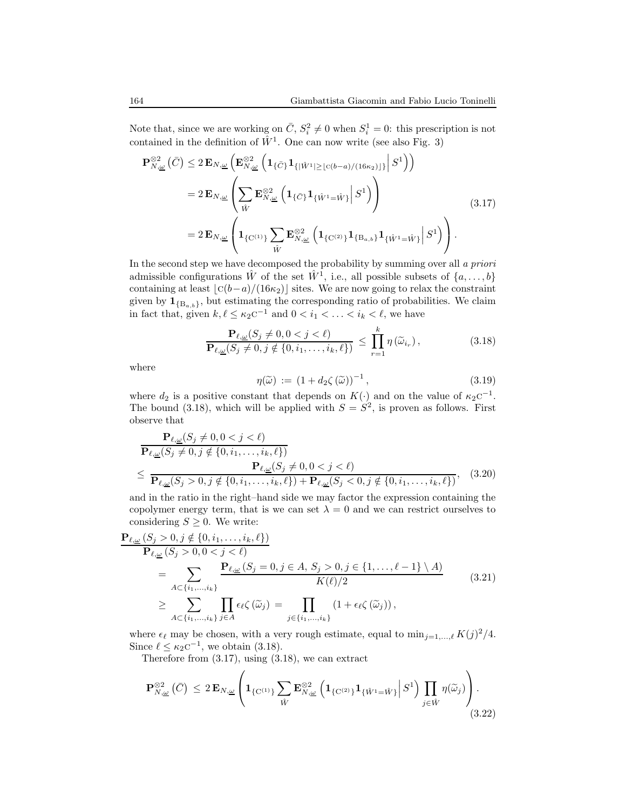Note that, since we are working on  $\bar{C}$ ,  $S_i^2 \neq 0$  when  $S_i^1 = 0$ : this prescription is not contained in the definition of  $\hat{W}^1$ . One can now write (see also Fig. 3)

$$
\mathbf{P}_{N,\underline{\omega}}^{\otimes 2}(\bar{C}) \leq 2 \mathbf{E}_{N,\underline{\omega}} \left( \mathbf{E}_{N,\underline{\omega}}^{\otimes 2} \left( \mathbf{1}_{\{\bar{C}\}} \mathbf{1}_{\{|\hat{W}^1| \geq \lfloor c(b-a)/(16\kappa_2) \rfloor\}} \Big| S^1 \right) \right)
$$
\n
$$
= 2 \mathbf{E}_{N,\underline{\omega}} \left( \sum_{\hat{W}} \mathbf{E}_{N,\underline{\omega}}^{\otimes 2} \left( \mathbf{1}_{\{\bar{C}\}} \mathbf{1}_{\{\hat{W}^1 = \hat{W}\}} \Big| S^1 \right) \right)
$$
\n
$$
= 2 \mathbf{E}_{N,\underline{\omega}} \left( \mathbf{1}_{\{C^{(1)}\}} \sum_{\hat{W}} \mathbf{E}_{N,\underline{\omega}}^{\otimes 2} \left( \mathbf{1}_{\{C^{(2)}\}} \mathbf{1}_{\{B_{a,b}\}} \mathbf{1}_{\{\hat{W}^1 = \hat{W}\}} \Big| S^1 \right) \right) \tag{3.17}
$$

In the second step we have decomposed the probability by summing over all a priori admissible configurations  $\hat{W}$  of the set  $\hat{W}^1$ , i.e., all possible subsets of  $\{a, \ldots, b\}$ containing at least  $\lfloor c(b-a)/(16\kappa_2)\rfloor$  sites. We are now going to relax the constraint given by  $\mathbf{1}_{\{B_{a,b}\}}$ , but estimating the corresponding ratio of probabilities. We claim in fact that, given  $k, \ell \leq \kappa_2 c^{-1}$  and  $0 < i_1 < \ldots < i_k < \ell$ , we have

$$
\frac{\mathbf{P}_{\ell,\underline{\omega}}(S_j \neq 0, 0 < j < \ell)}{\mathbf{P}_{\ell,\underline{\omega}}(S_j \neq 0, j \notin \{0, i_1, \dots, i_k, \ell\})} \leq \prod_{r=1}^k \eta(\widetilde{\omega}_{i_r}),
$$
\n(3.18)

where

$$
\eta(\widetilde{\omega}) := (1 + d_2 \zeta(\widetilde{\omega}))^{-1},\tag{3.19}
$$

where  $d_2$  is a positive constant that depends on  $K(\cdot)$  and on the value of  $\kappa_2 c^{-1}$ . The bound (3.18), which will be applied with  $S = S^2$ , is proven as follows. First observe that

$$
\frac{\mathbf{P}_{\ell,\underline{\omega}}(S_j \neq 0, 0 < j < \ell)}{\mathbf{P}_{\ell,\underline{\omega}}(S_j \neq 0, j \notin \{0, i_1, \dots, i_k, \ell\})}
$$
\n
$$
\leq \frac{\mathbf{P}_{\ell,\underline{\omega}}(S_j \neq 0, 0 < j < \ell)}{\mathbf{P}_{\ell,\underline{\omega}}(S_j > 0, j \notin \{0, i_1, \dots, i_k, \ell\}) + \mathbf{P}_{\ell,\underline{\omega}}(S_j < 0, j \notin \{0, i_1, \dots, i_k, \ell\})}, \quad (3.20)
$$

and in the ratio in the right–hand side we may factor the expression containing the copolymer energy term, that is we can set  $\lambda = 0$  and we can restrict ourselves to considering  $S \geq 0$ . We write:

$$
\frac{\mathbf{P}_{\ell,\underline{\omega}}(S_j > 0, j \notin \{0, i_1, \dots, i_k, \ell\})}{\mathbf{P}_{\ell,\underline{\omega}}(S_j > 0, 0 < j < \ell)} \\
= \sum_{A \subset \{i_1, \dots, i_k\}} \frac{\mathbf{P}_{\ell,\underline{\omega}}(S_j = 0, j \in A, S_j > 0, j \in \{1, \dots, \ell - 1\} \setminus A)}{K(\ell)/2} \\
\geq \sum_{A \subset \{i_1, \dots, i_k\}} \prod_{j \in A} \epsilon_{\ell} \zeta(\widetilde{\omega}_j) = \prod_{j \in \{i_1, \dots, i_k\}} (1 + \epsilon_{\ell} \zeta(\widetilde{\omega}_j)),
$$
\n(3.21)

where  $\epsilon_{\ell}$  may be chosen, with a very rough estimate, equal to  $\min_{j=1,\dots,\ell} K(j)^2/4$ . Since  $\ell \leq \kappa_2 c^{-1}$ , we obtain (3.18).

Therefore from (3.17), using (3.18), we can extract

$$
\mathbf{P}_{N,\underline{\omega}}^{\otimes 2}(\bar{C}) \leq 2 \mathbf{E}_{N,\underline{\omega}} \left( \mathbf{1}_{\{C^{(1)}\}} \sum_{\hat{W}} \mathbf{E}_{N,\underline{\omega}}^{\otimes 2} \left( \mathbf{1}_{\{C^{(2)}\}} \mathbf{1}_{\{\hat{W}^1 = \hat{W}\}} \middle| S^1 \right) \prod_{j \in \hat{W}} \eta(\widetilde{\omega}_j) \right). \tag{3.22}
$$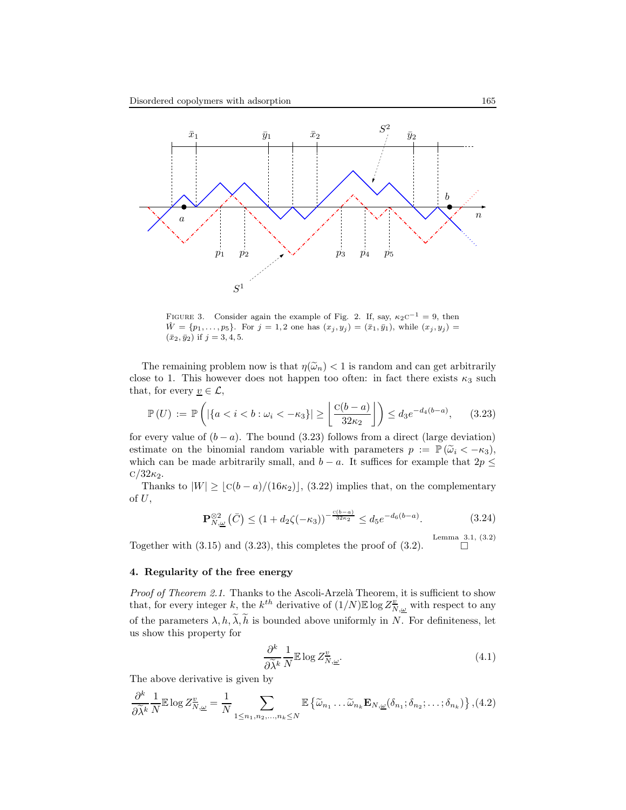

FIGURE 3. Consider again the example of Fig. 2. If, say,  $\kappa_2 c^{-1} = 9$ , then  $\hat{W} = \{p_1, \ldots, p_5\}$ . For  $j = 1, 2$  one has  $(x_j, y_j) = (\bar{x}_1, \bar{y}_1)$ , while  $(x_j, y_j) =$  $(\bar{x}_2, \bar{y}_2)$  if  $j = 3, 4, 5$ .

The remaining problem now is that  $\eta(\tilde{\omega}_n) < 1$  is random and can get arbitrarily close to 1. This however does not happen too often: in fact there exists  $\kappa_3$  such that, for every  $\underline{v} \in \mathcal{L}$ ,

$$
\mathbb{P}(U) := \mathbb{P}\left(|\{a < i < b : \omega_i < -\kappa_3\}| \ge \left\lfloor \frac{c(b-a)}{32\kappa_2} \right\rfloor\right) \le d_3 e^{-d_4(b-a)},\tag{3.23}
$$

for every value of  $(b - a)$ . The bound (3.23) follows from a direct (large deviation) estimate on the binomial random variable with parameters  $p := \mathbb{P}(\tilde{\omega}_i < -\kappa_3)$ , which can be made arbitrarily small, and  $b - a$ . It suffices for example that  $2p \leq$  $\rm C/32\kappa_2$ .

Thanks to  $|W| \geq [c(b - a)/(16\kappa_2)]$ , (3.22) implies that, on the complementary of  $U$ ,

$$
\mathbf{P}_{N,\underline{\omega}}^{\otimes 2}(\bar{C}) \le (1 + d_2 \zeta(-\kappa_3))^{-\frac{c(b-a)}{32\kappa_2}} \le d_5 e^{-d_6(b-a)}.
$$
 (3.24)

Together with (3.15) and (3.23), this completes the proof of (3.2). Lemma 3.1, (3.2)  $\Box$ 

## 4. Regularity of the free energy

Proof of Theorem 2.1. Thanks to the Ascoli-Arzelà Theorem, it is sufficient to show that, for every integer k, the  $k^{th}$  derivative of  $(1/N)\mathbb{E}\log Z^{\underline{v}}_{N,\underline{\omega}}$  with respect to any of the parameters  $\lambda, h, \widetilde{\lambda}, \widetilde{h}$  is bounded above uniformly in N. For definiteness, let us show this property for

$$
\frac{\partial^k}{\partial \tilde{\lambda}^k} \frac{1}{N} \mathbb{E} \log Z^{\underline{v}}_{N,\underline{\omega}}.\tag{4.1}
$$

The above derivative is given by

$$
\frac{\partial^k}{\partial \widetilde{\lambda}^k} \frac{1}{N} \mathbb{E} \log Z^{\underline{v}}_{N,\underline{\omega}} = \frac{1}{N} \sum_{1 \leq n_1, n_2, \dots, n_k \leq N} \mathbb{E} \left\{ \widetilde{\omega}_{n_1} \dots \widetilde{\omega}_{n_k} \mathbf{E}_{N,\underline{\omega}} (\delta_{n_1}; \delta_{n_2}; \dots; \delta_{n_k}) \right\}, (4.2)
$$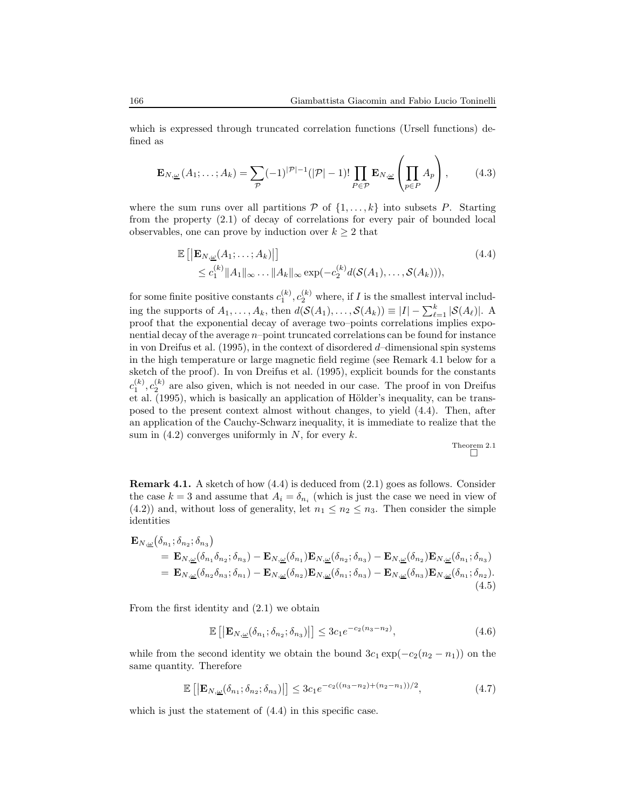which is expressed through truncated correlation functions (Ursell functions) defined as

$$
\mathbf{E}_{N,\underline{\omega}}(A_1;\ldots;A_k) = \sum_{\mathcal{P}} (-1)^{|\mathcal{P}|-1} (|\mathcal{P}|-1)! \prod_{P \in \mathcal{P}} \mathbf{E}_{N,\underline{\omega}} \left(\prod_{p \in P} A_p\right),\tag{4.3}
$$

where the sum runs over all partitions  $P$  of  $\{1, \ldots, k\}$  into subsets P. Starting from the property (2.1) of decay of correlations for every pair of bounded local observables, one can prove by induction over  $k \geq 2$  that

$$
\mathbb{E}\left[\left|\mathbf{E}_{N,\underline{\omega}}(A_1;\ldots;A_k)\right|\right] \tag{4.4}
$$
\n
$$
\leq c_1^{(k)} \|A_1\|_{\infty} \ldots \|A_k\|_{\infty} \exp(-c_2^{(k)} d(\mathcal{S}(A_1),\ldots,\mathcal{S}(A_k))),
$$

for some finite positive constants  $c_1^{(k)}$ ,  $c_2^{(k)}$  where, if I is the smallest interval including the supports of  $A_1, \ldots, A_k$ , then  $d(S(A_1), \ldots, S(A_k)) \equiv |I| - \sum_{\ell=1}^k |\mathcal{S}(A_\ell)|$ . A proof that the exponential decay of average two–points correlations implies exponential decay of the average n–point truncated correlations can be found for instance in von Dreifus et al. (1995), in the context of disordered d–dimensional spin systems in the high temperature or large magnetic field regime (see Remark 4.1 below for a sketch of the proof). In von Dreifus et al. (1995), explicit bounds for the constants  $c_1^{(k)}$ ,  $c_2^{(k)}$  are also given, which is not needed in our case. The proof in von Dreifus et al. (1995), which is basically an application of Hölder's inequality, can be transposed to the present context almost without changes, to yield (4.4). Then, after an application of the Cauchy-Schwarz inequality, it is immediate to realize that the sum in  $(4.2)$  converges uniformly in N, for every k.

Theorem 2.1

Remark 4.1. A sketch of how (4.4) is deduced from (2.1) goes as follows. Consider the case  $k = 3$  and assume that  $A_i = \delta_{n_i}$  (which is just the case we need in view of (4.2)) and, without loss of generality, let  $n_1 \leq n_2 \leq n_3$ . Then consider the simple identities

$$
\mathbf{E}_{N,\underline{\omega}}(\delta_{n_1}; \delta_{n_2}; \delta_{n_3})
$$
\n
$$
= \mathbf{E}_{N,\underline{\omega}}(\delta_{n_1}\delta_{n_2}; \delta_{n_3}) - \mathbf{E}_{N,\underline{\omega}}(\delta_{n_1})\mathbf{E}_{N,\underline{\omega}}(\delta_{n_2}; \delta_{n_3}) - \mathbf{E}_{N,\underline{\omega}}(\delta_{n_2})\mathbf{E}_{N,\underline{\omega}}(\delta_{n_1}; \delta_{n_3})
$$
\n
$$
= \mathbf{E}_{N,\underline{\omega}}(\delta_{n_2}\delta_{n_3}; \delta_{n_1}) - \mathbf{E}_{N,\underline{\omega}}(\delta_{n_2})\mathbf{E}_{N,\underline{\omega}}(\delta_{n_1}; \delta_{n_3}) - \mathbf{E}_{N,\underline{\omega}}(\delta_{n_3})\mathbf{E}_{N,\underline{\omega}}(\delta_{n_1}; \delta_{n_2}).
$$
\n(4.5)

From the first identity and (2.1) we obtain

$$
\mathbb{E}\left[\left|\mathbf{E}_{N,\underline{\omega}}(\delta_{n_1};\delta_{n_2};\delta_{n_3})\right|\right] \le 3c_1e^{-c_2(n_3-n_2)},\tag{4.6}
$$

while from the second identity we obtain the bound  $3c_1 \exp(-c_2(n_2 - n_1))$  on the same quantity. Therefore

$$
\mathbb{E}\left[\left|\mathbf{E}_{N,\underline{\omega}}(\delta_{n_1};\delta_{n_2};\delta_{n_3})\right|\right] \le 3c_1e^{-c_2((n_3-n_2)+(n_2-n_1))/2},\tag{4.7}
$$

which is just the statement of  $(4.4)$  in this specific case.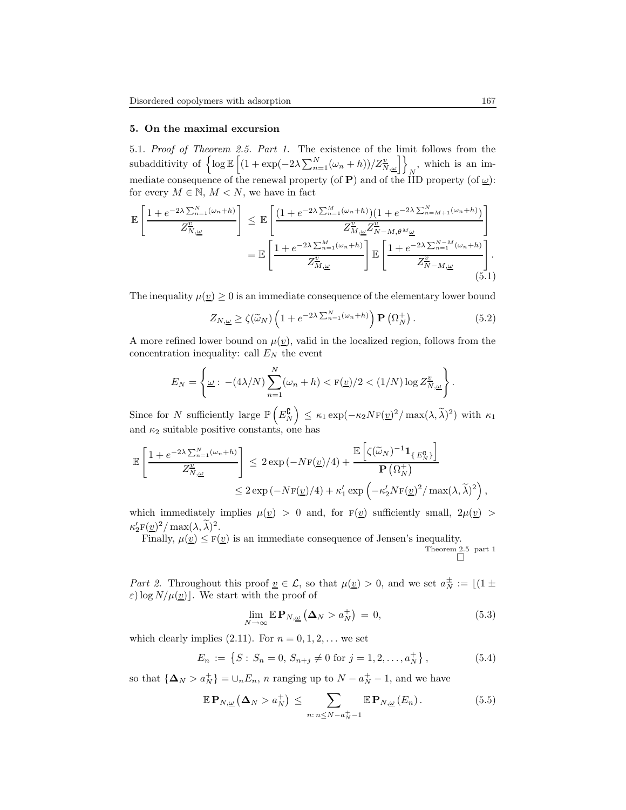#### 5. On the maximal excursion

5.1. Proof of Theorem 2.5. Part 1. The existence of the limit follows from the subadditivity of  $\left\{ \log \mathbb{E} \left[ (1 + \exp(-2\lambda \sum_{n=1}^{N} (\omega_n + h))/Z_{N,\underline{\omega}}^{\underline{v}}) \right] \right\}_N$ , which is an immediate consequence of the renewal property (of **P**) and of the IID property (of  $\underline{\omega}$ ): for every  $M \in \mathbb{N}$ ,  $M < N$ , we have in fact

$$
\mathbb{E}\left[\frac{1+e^{-2\lambda\sum_{n=1}^{N}(\omega_{n}+h)}}{Z_{N,\underline{\omega}}^2}\right] \leq \mathbb{E}\left[\frac{(1+e^{-2\lambda\sum_{n=1}^{M}(\omega_{n}+h)})(1+e^{-2\lambda\sum_{n=M+1}^{N}(\omega_{n}+h)})}{Z_{M,\underline{\omega}}^2Z_{N-M,\theta^{M}\underline{\omega}}^2}\right]
$$

$$
= \mathbb{E}\left[\frac{1+e^{-2\lambda\sum_{n=1}^{M}(\omega_{n}+h)}}{Z_{M,\underline{\omega}}^2}\right]\mathbb{E}\left[\frac{1+e^{-2\lambda\sum_{n=1}^{N-M}(\omega_{n}+h)}}{Z_{N-M,\underline{\omega}}^2}\right].
$$
(5.1)

The inequality  $\mu(\underline{v}) \geq 0$  is an immediate consequence of the elementary lower bound

$$
Z_{N,\underline{\omega}} \ge \zeta(\widetilde{\omega}_N) \left( 1 + e^{-2\lambda \sum_{n=1}^N (\omega_n + h)} \right) \mathbf{P} \left( \Omega_N^+ \right). \tag{5.2}
$$

A more refined lower bound on  $\mu(\underline{v})$ , valid in the localized region, follows from the concentration inequality: call  $E_N$  the event

$$
E_N = \left\{ \underline{\omega} : -(4\lambda/N) \sum_{n=1}^N (\omega_n + h) < \frac{\mathrm{F}(\underline{v})}{2} < (1/N) \log Z_{N,\underline{\omega}}^{\underline{v}} \right\}.
$$

Since for N sufficiently large  $\mathbb{P}\left(E_N^{\complement}\right) \leq \kappa_1 \exp(-\kappa_2 N_{\mathrm{F}}(\underline{v})^2 / \max(\lambda, \tilde{\lambda})^2)$  with  $\kappa_1$ and  $\kappa_2$  suitable positive constants, one has

$$
\mathbb{E}\left[\frac{1+e^{-2\lambda\sum_{n=1}^{N}(\omega_n+h)}}{Z_{N,\underline{\omega}}^{\underline{v}}} \right] \leq 2\exp\left(-N\mathbf{F}(\underline{v})/4\right) + \frac{\mathbb{E}\left[\zeta(\widetilde{\omega}_N)^{-1}\mathbf{1}_{\{E_N^{\mathbf{0}}\}}\right]}{\mathbf{P}\left(\Omega_N^+\right)} \leq 2\exp\left(-N\mathbf{F}(\underline{v})/4\right) + \kappa_1' \exp\left(-\kappa_2' N \mathbf{F}(\underline{v})^2/\max(\lambda,\widetilde{\lambda})^2\right),
$$

which immediately implies  $\mu(\underline{v}) > 0$  and, for  $F(\underline{v})$  sufficiently small,  $2\mu(\underline{v}) >$  $\kappa'_{2}F(\underline{v})^{2}/\max(\lambda, \widetilde{\lambda})^{2}.$ 

Finally,  $\mu(\underline{v}) \leq F(\underline{v})$  is an immediate consequence of Jensen's inequality. Theorem 2.5 part 1

Part 2. Throughout this proof  $\underline{v} \in \mathcal{L}$ , so that  $\mu(\underline{v}) > 0$ , and we set  $a_N^{\pm} := \lfloor (1 \pm \underline{v}) \rfloor$  $\varepsilon$ ) log  $N/\mu(\underline{v})$ . We start with the proof of

$$
\lim_{N \to \infty} \mathbb{E} \mathbf{P}_{N,\underline{\omega}} \left( \mathbf{\Delta}_N > a_N^+ \right) = 0, \tag{5.3}
$$

which clearly implies  $(2.11)$ . For  $n = 0, 1, 2, \ldots$  we set

$$
E_n := \left\{ S : S_n = 0, S_{n+j} \neq 0 \text{ for } j = 1, 2, \dots, a_N^+ \right\},\tag{5.4}
$$

so that  $\{\mathbf{\Delta}_N > a_N^+\} = \cup_n E_n$ , *n* ranging up to  $N - a_N^+ - 1$ , and we have

$$
\mathbb{E}\,\mathbf{P}_{N,\underline{\omega}}\left(\mathbf{\Delta}_N > a_N^+\right) \leq \sum_{n:\,n\leq N-a_N^+-1} \mathbb{E}\,\mathbf{P}_{N,\underline{\omega}}\left(E_n\right). \tag{5.5}
$$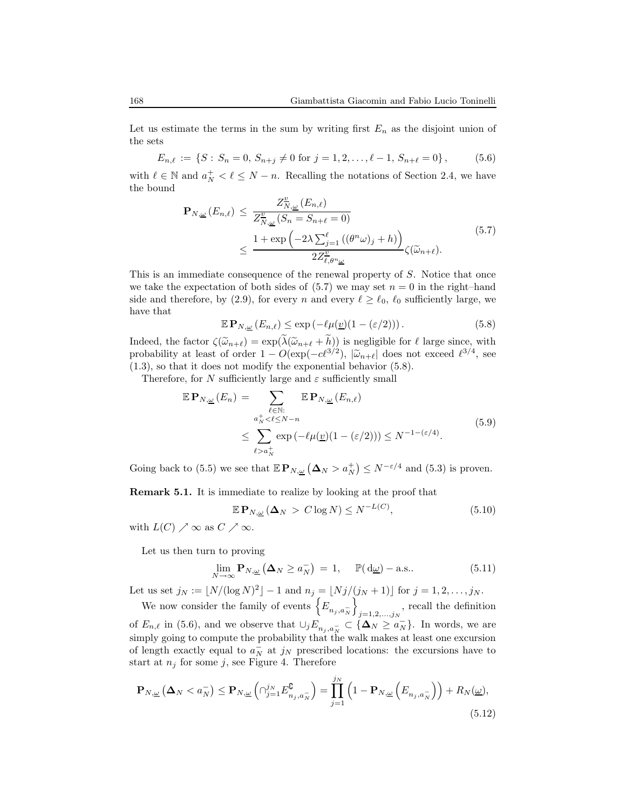Let us estimate the terms in the sum by writing first  $E_n$  as the disjoint union of the sets

$$
E_{n,\ell} := \{ S : S_n = 0, S_{n+j} \neq 0 \text{ for } j = 1, 2, \dots, \ell - 1, S_{n+\ell} = 0 \},\tag{5.6}
$$

with  $\ell \in \mathbb{N}$  and  $a_N^+ < \ell \leq N - n$ . Recalling the notations of Section 2.4, we have the bound

$$
\mathbf{P}_{N,\underline{\omega}}(E_{n,\ell}) \leq \frac{Z_{N,\underline{\omega}}^{\underline{v}}(E_{n,\ell})}{Z_{N,\underline{\omega}}^{\underline{v}}(S_n = S_{n+\ell} = 0)} \leq \frac{1 + \exp\left(-2\lambda \sum_{j=1}^{\ell} \left((\theta^n \omega)_j + h\right)\right)}{2Z_{\ell,\theta^n \underline{\omega}}^{\underline{v}}} \zeta(\widetilde{\omega}_{n+\ell}).
$$
\n(5.7)

This is an immediate consequence of the renewal property of S. Notice that once we take the expectation of both sides of  $(5.7)$  we may set  $n = 0$  in the right-hand side and therefore, by (2.9), for every n and every  $\ell \geq \ell_0, \ell_0$  sufficiently large, we have that

$$
\mathbb{E} \mathbf{P}_{N,\underline{\omega}} \left( E_{n,\ell} \right) \le \exp \left( -\ell \mu(\underline{v}) (1 - (\varepsilon/2)) \right). \tag{5.8}
$$

Indeed, the factor  $\zeta(\tilde{\omega}_{n+\ell}) = \exp(\lambda(\tilde{\omega}_{n+\ell} + h))$  is negligible for  $\ell$  large since, with probability at least of order  $1 - O(\exp(-c\ell^{3/2}), |\tilde{\omega}_{n+\ell}|)$  does not exceed  $\ell^{3/4}$ , see (1.3), so that it does not modify the exponential behavior (5.8).

Therefore, for N sufficiently large and  $\varepsilon$  sufficiently small

$$
\mathbb{E} \mathbf{P}_{N,\underline{\omega}}(E_n) = \sum_{\substack{\ell \in \mathbb{N}: \\ a_N^+ < \ell \le N-n}} \mathbb{E} \mathbf{P}_{N,\underline{\omega}}(E_{n,\ell})
$$
\n
$$
\le \sum_{\ell > a_N^+} \exp\left(-\ell \mu(\underline{v})(1 - (\varepsilon/2))\right) \le N^{-1 - (\varepsilon/4)}.
$$
\n
$$
(5.9)
$$

Going back to (5.5) we see that  $\mathbb{E} \mathbf{P}_{N,\underline{\omega}} (\Delta_N > a_N^+) \leq N^{-\varepsilon/4}$  and (5.3) is proven.

Remark 5.1. It is immediate to realize by looking at the proof that

$$
\mathbb{E}\,\mathbf{P}_{N,\underline{\omega}}\left(\Delta_N\right) > C\log N \le N^{-L(C)},\tag{5.10}
$$

with  $L(C) \nearrow \infty$  as  $C \nearrow \infty$ .

Let us then turn to proving

$$
\lim_{N \to \infty} \mathbf{P}_{N,\underline{\omega}} \left( \Delta_N \ge a_N^- \right) = 1, \quad \mathbb{P}(\mathrm{d}\underline{\omega}) - \text{a.s.}.
$$
 (5.11)

Let us set  $j_N := \lfloor N/(\log N)^2 \rfloor - 1$  and  $n_j = \lfloor Nj/(j_N + 1) \rfloor$  for  $j = 1, 2, ..., j_N$ .  $\tilde{1}$ 

We now consider the family of events  $\left\{E_{n_j, a_N^{\top}}\right\}$  $_{j=1,2,...,j_N}$ , recall the definition of  $E_{n,\ell}$  in (5.6), and we observe that  $\cup_j E_{n_j, a_N} \subset {\{\mathbf{\Delta}_N \ge a_N^-\}}$ . In words, we are simply going to compute the probability that the walk makes at least one excursion of length exactly equal to  $a_N^-$  at  $j_N$  prescribed locations: the excursions have to start at  $n_j$  for some j, see Figure 4. Therefore

$$
\mathbf{P}_{N,\underline{\omega}}\left(\mathbf{\Delta}_{N} < a_{N}^{-}\right) \leq \mathbf{P}_{N,\underline{\omega}}\left(\bigcap_{j=1}^{j_{N}} E_{n_{j},a_{N}}^{\complement}\right) = \prod_{j=1}^{j_{N}}\left(1 - \mathbf{P}_{N,\underline{\omega}}\left(E_{n_{j},a_{N}}^{-}\right)\right) + R_{N}(\underline{\omega}),\tag{5.12}
$$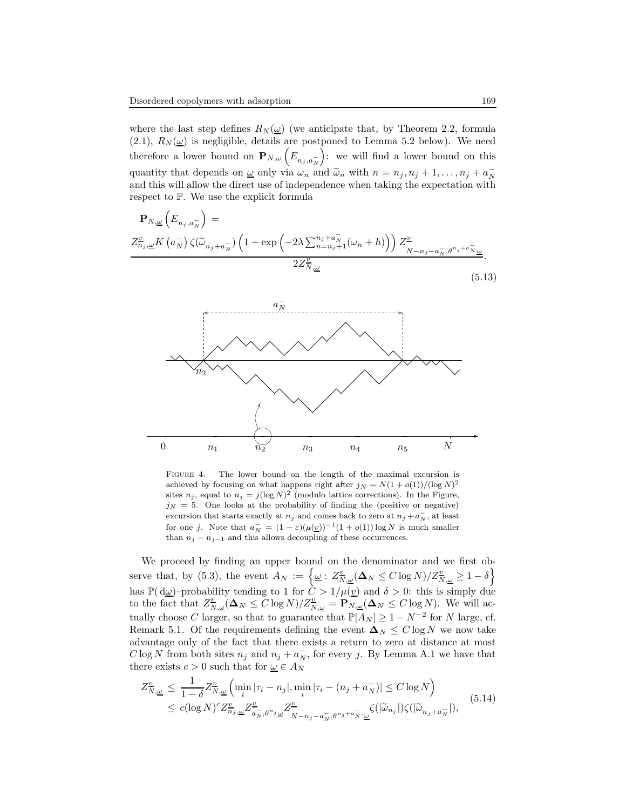where the last step defines  $R_N(\underline{\omega})$  (we anticipate that, by Theorem 2.2, formula (2.1),  $R_N(\underline{\omega})$  is negligible, details are postponed to Lemma 5.2 below). We need therefore a lower bound on  $\mathbf{P}_{N,\omega}\left(E_{n_j,a_N^-}\right)$  : we will find a lower bound on this quantity that depends on  $\underline{\omega}$  only via  $\omega_n$  and  $\widetilde{\omega}_n$  with  $n = n_j, n_j + 1, \ldots, n_j + a_N$ and this will allow the direct use of independence when taking the expectation with respect to P. We use the explicit formula



Figure 4. The lower bound on the length of the maximal excursion is achieved by focusing on what happens right after  $j_N = N(1 + o(1))/(log N)^2$ sites  $n_j$ , equal to  $n_j = j(\log N)^2$  (modulo lattice corrections). In the Figure,  $j_N = 5$ . One looks at the probability of finding the (positive or negative) excursion that starts exactly at  $n_j$  and comes back to zero at  $n_j + a_N^-$ , at least for one j. Note that  $a_N^- = (1 - \varepsilon)(\mu(\underline{v}))^{-1}(1 + o(1)) \log N$  is much smaller than  $n_j - n_{j-1}$  and this allows decoupling of these occurrences.

We proceed by finding an upper bound on the denominator and we first observe that, by (5.3), the event  $A_N := \left\{ \underline{\omega} : Z_{N,\underline{\omega}}^{\underline{v}}(\Delta_N \le C \log N) / Z_{N,\underline{\omega}}^{\underline{v}} \ge 1 - \delta \right\}$ has  $\mathbb{P}(\mathrm{d}\omega)$ -probability tending to 1 for  $C > 1/\mu(\underline{v})$  and  $\delta > 0$ : this is simply due to the fact that  $Z_{N,\underline{\omega}}^{\underline{v}}(\Delta_N \leq C \log N)/Z_{N,\underline{\omega}}^{\underline{v}} = \mathbf{P}_{N,\underline{\omega}}(\Delta_N \leq C \log N)$ . We will actually choose C larger, so that to guarantee that  $\mathbb{P}[A_N] \geq 1 - N^{-2}$  for N large, cf. Remark 5.1. Of the requirements defining the event  $\Delta_N \leq C \log N$  we now take advantage only of the fact that there exists a return to zero at distance at most  $C \log N$  from both sites  $n_j$  and  $n_j + a_N^-$ , for every j. By Lemma A.1 we have that there exists  $c > 0$  such that for  $\underline{\omega} \in A_N$ 

$$
Z_{N,\underline{\omega}}^{\underline{v}} \le \frac{1}{1-\delta} Z_{N,\underline{\omega}}^{\underline{v}} \left( \min_{i} |\tau_i - n_j|, \min_{i} |\tau_i - (n_j + a_N^{-})| \le C \log N \right) \le c(\log N)^{c} Z_{n_j,\underline{\omega}}^{\underline{v}} Z_{\overline{a}_N,\theta^{n_j}\underline{\omega}}^{\underline{v}} \frac{Z_{N-n_j-a_N,\theta^{n_j+a_N} \cdot \underline{\omega}}^{\underline{v}} \zeta(|\widetilde{\omega}_{n_j}|) \zeta(|\widetilde{\omega}_{n_j+a_N}^{-}|),
$$
\n
$$
(5.14)
$$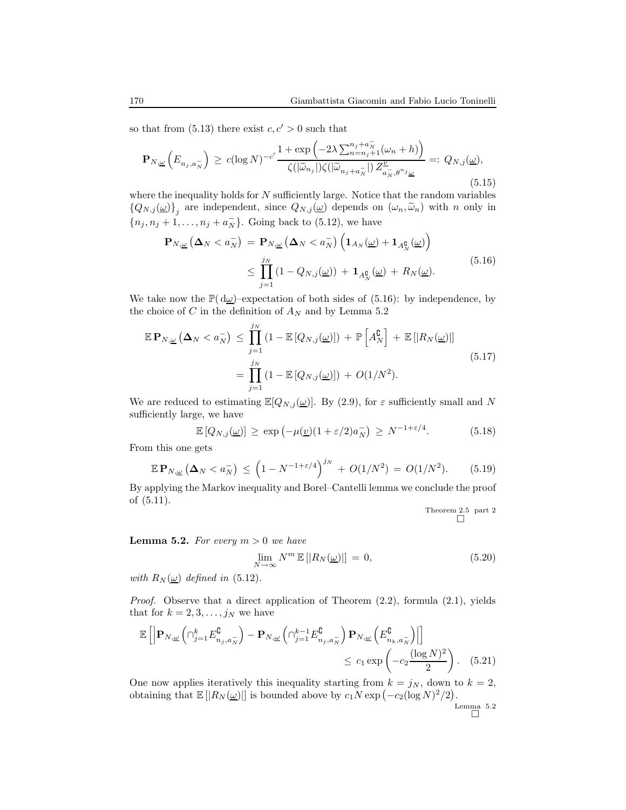so that from  $(5.13)$  there exist  $c, c' > 0$  such that

$$
\mathbf{P}_{N,\underline{\omega}}\left(E_{n_j,a_N^{-}}\right) \ge c(\log N)^{-c'} \frac{1+\exp\left(-2\lambda \sum_{n=n_j+1}^{n_j+a_N^{-}} (\omega_n+h)\right)}{\zeta(|\widetilde{\omega}_{n_j}|)\zeta(|\widetilde{\omega}_{n_j+a_N^{-}}|)} \frac{Z_{a_N,\theta^{n_j}\underline{\omega}}^{\underline{\omega}}}{Z_{a_N,\theta^{n_j}\underline{\omega}}^{\underline{\omega}}} =: Q_{N,j}(\underline{\omega}),
$$
\n(5.15)

where the inequality holds for  $N$  sufficiently large. Notice that the random variables  $\{Q_{N,j}(\underline{\omega})\}_j$  are independent, since  $Q_{N,j}(\underline{\omega})$  depends on  $(\omega_n, \widetilde{\omega}_n)$  with n only in  ${n_j, n_j + 1, ..., n_j + a_N^-}$ . Going back to (5.12), we have

$$
\mathbf{P}_{N,\underline{\omega}}\left(\Delta_{N} < a_{N}^{-}\right) = \mathbf{P}_{N,\underline{\omega}}\left(\Delta_{N} < a_{N}^{-}\right)\left(\mathbf{1}_{A_{N}}(\underline{\omega}) + \mathbf{1}_{A_{N}^{0}}(\underline{\omega})\right)
$$
\n
$$
\leq \prod_{j=1}^{j_{N}}\left(1 - Q_{N,j}(\underline{\omega})\right) + \mathbf{1}_{A_{N}^{0}}(\underline{\omega}) + R_{N}(\underline{\omega}).\tag{5.16}
$$

We take now the  $\mathbb{P}(\mathrm{d}\underline{\omega})$ –expectation of both sides of (5.16): by independence, by the choice of C in the definition of  $A_N$  and by Lemma 5.2

$$
\mathbb{E} \mathbf{P}_{N,\underline{\omega}}\left(\mathbf{\Delta}_N < a_N^-\right) \le \prod_{j=1}^{j_N} \left(1 - \mathbb{E}\left[Q_{N,j}(\underline{\omega})\right]\right) + \mathbb{P}\left[A_N^{\mathbb{C}}\right] + \mathbb{E}\left[|R_N(\underline{\omega})|\right]
$$
\n
$$
= \prod_{j=1}^{j_N} \left(1 - \mathbb{E}\left[Q_{N,j}(\underline{\omega})\right]\right) + O(1/N^2). \tag{5.17}
$$

We are reduced to estimating  $\mathbb{E}[Q_{N,j}(\underline{\omega})]$ . By (2.9), for  $\varepsilon$  sufficiently small and N sufficiently large, we have

$$
\mathbb{E}\left[Q_{N,j}(\underline{\omega})\right] \ge \exp\left(-\mu(\underline{v})(1+\varepsilon/2)a_N^-\right) \ge N^{-1+\varepsilon/4}.\tag{5.18}
$$

From this one gets

$$
\mathbb{E} \, \mathbf{P}_{N,\underline{\omega}} \left( \mathbf{\Delta}_N < a_N^- \right) \, \le \, \left( 1 - N^{-1 + \varepsilon/4} \right)^{j_N} \, + \, O(1/N^2) \, = \, O(1/N^2). \tag{5.19}
$$

By applying the Markov inequality and Borel–Cantelli lemma we conclude the proof of (5.11).

Theorem 2.5 part 2

**Lemma 5.2.** For every  $m > 0$  we have

$$
\lim_{N \to \infty} N^m \mathbb{E} [|R_N(\underline{\omega})|] = 0,
$$
\n(5.20)

with  $R_N(\underline{\omega})$  defined in (5.12).

Proof. Observe that a direct application of Theorem (2.2), formula (2.1), yields that for  $k = 2, 3, \ldots, j_N$  we have

$$
\mathbb{E}\left[\left|\mathbf{P}_{N,\underline{\omega}}\left(\bigcap_{j=1}^{k} E_{n_{j},a_{N}}^{\complement}\right)-\mathbf{P}_{N,\underline{\omega}}\left(\bigcap_{j=1}^{k-1} E_{n_{j},a_{N}}^{\complement}\right)\mathbf{P}_{N,\underline{\omega}}\left(E_{n_{k},a_{N}}^{\complement}\right)\right|\right] \le c_{1} \exp\left(-c_{2} \frac{(\log N)^{2}}{2}\right). \tag{5.21}
$$

One now applies iteratively this inequality starting from  $k = j_N$ , down to  $k = 2$ , obtaining that  $\mathbb{E} [ |R_N(\underline{\omega})| ]$  is bounded above by  $c_1 N \exp(-c_2(\log N)^2/2)$ .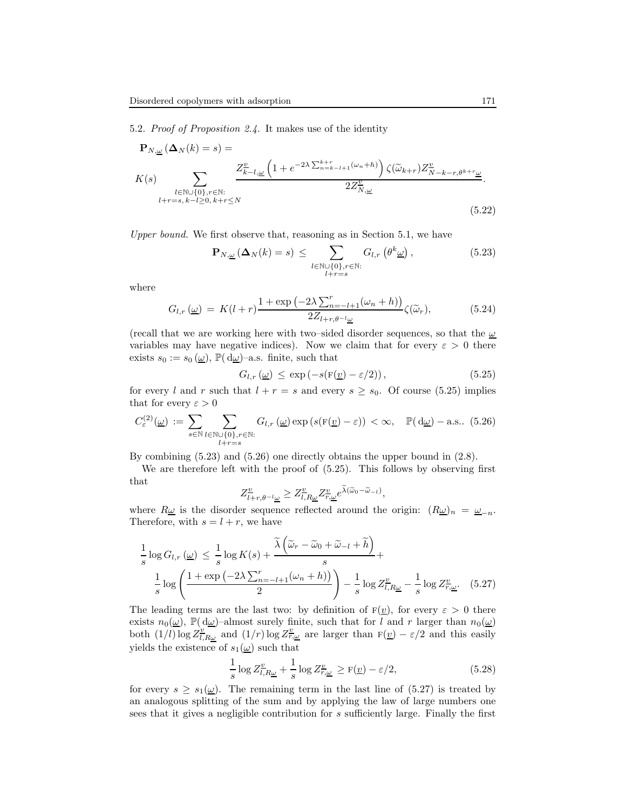5.2. Proof of Proposition 2.4. It makes use of the identity

$$
\mathbf{P}_{N,\underline{\omega}}\left(\Delta_{N}(k) = s\right) = \n\chi(s) \sum_{\substack{l \in \mathbb{N} \cup \{0\}, r \in \mathbb{N}: \\ l+r=s, k-l \ge 0, k+r \le N}} \frac{Z_{k-l,\underline{\omega}}^{\underline{v}}\left(1 + e^{-2\lambda \sum_{n=k-l+1}^{k+r} (\omega_n + h)\right) \zeta(\widetilde{\omega}_{k+r}) Z_{N-k-r,\theta^{k+r}\underline{\omega}}^{\underline{v}}}{2Z_{N,\underline{\omega}}^{\underline{v}}}.
$$
\n(5.22)

Upper bound. We first observe that, reasoning as in Section 5.1, we have

$$
\mathbf{P}_{N,\underline{\omega}}\left(\mathbf{\Delta}_{N}(k)=s\right) \leq \sum_{\substack{l \in \mathbb{N}\cup\{0\}, r \in \mathbb{N}: \\ l+r=s}} G_{l,r}\left(\theta^{k}\underline{\omega}\right),\tag{5.23}
$$

where

$$
G_{l,r}(\underline{\omega}) = K(l+r) \frac{1 + \exp\left(-2\lambda \sum_{n=-l+1}^{r} (\omega_n + h)\right)}{2Z_{l+r,\theta^{-l}\underline{\omega}}} \zeta(\widetilde{\omega}_r), \tag{5.24}
$$

(recall that we are working here with two–sided disorder sequences, so that the  $\omega$ variables may have negative indices). Now we claim that for every  $\varepsilon > 0$  there exists  $s_0 := s_0(\underline{\omega})$ ,  $\mathbb{P}(\mathrm{d}\underline{\omega})$ -a.s. finite, such that

$$
G_{l,r}(\underline{\omega}) \le \exp\left(-s(\mathbf{F}(\underline{v}) - \varepsilon/2)\right),\tag{5.25}
$$

for every l and r such that  $l + r = s$  and every  $s \geq s_0$ . Of course (5.25) implies that for every  $\varepsilon > 0$ 

$$
C_{\varepsilon}^{(2)}(\underline{\omega}) := \sum_{s \in \mathbb{N}} \sum_{\substack{l \in \mathbb{N} \cup \{0\}, r \in \mathbb{N}: \\ l+r=s}} G_{l,r}(\underline{\omega}) \exp\left(s(\mathbf{F}(\underline{v}) - \varepsilon)\right) < \infty, \quad \mathbb{P}(\mathrm{d}\underline{\omega}) - \text{a.s.. (5.26)}
$$

By combining (5.23) and (5.26) one directly obtains the upper bound in (2.8).

We are therefore left with the proof of (5.25). This follows by observing first that

$$
Z^{\underline{v}}_{l+r,\theta^{-l}\underline{\omega}} \geq Z^{\underline{v}}_{l,R\underline{\omega}} Z^{\underline{v}}_{r,\underline{\omega}} e^{\widetilde{\lambda}(\widetilde{\omega}_0 - \widetilde{\omega}_{-l})},
$$

where  $R\underline{\omega}$  is the disorder sequence reflected around the origin:  $(R\underline{\omega})_n = \underline{\omega}_{-n}$ . Therefore, with  $s = l + r$ , we have

$$
\frac{1}{s}\log G_{l,r}\left(\underline{\omega}\right) \leq \frac{1}{s}\log K(s) + \frac{\widetilde{\lambda}\left(\widetilde{\omega}_{r} - \widetilde{\omega}_{0} + \widetilde{\omega}_{-l} + \widetilde{h}\right)}{s} + \frac{1}{s}\log\left(\frac{1 + \exp\left(-2\lambda \sum_{n=-l+1}^{r} (\omega_{n} + h)\right)}{2}\right) - \frac{1}{s}\log Z_{l,R\underline{\omega}}^{v} - \frac{1}{s}\log Z_{r,\underline{\omega}}^{v}.
$$
 (5.27)

The leading terms are the last two: by definition of  $F(\underline{v})$ , for every  $\varepsilon > 0$  there exists  $n_0(\underline{\omega})$ ,  $\mathbb{P}(\mathrm{d}\underline{\omega})$ -almost surely finite, such that for l and r larger than  $n_0(\underline{\omega})$ both  $(1/l)\log Z_{l,R\underline{\omega}}^{\underline{v}}$  and  $(1/r)\log Z_{r,\underline{\omega}}^{\underline{v}}$  are larger than  $F(\underline{v}) - \varepsilon/2$  and this easily yields the existence of  $s_1(\omega)$  such that

$$
\frac{1}{s}\log Z_{l,R\underline{\omega}}^{\underline{v}} + \frac{1}{s}\log Z_{r,\underline{\omega}}^{\underline{v}} \ge F(\underline{v}) - \varepsilon/2, \tag{5.28}
$$

for every  $s \geq s_1(\underline{\omega})$ . The remaining term in the last line of (5.27) is treated by an analogous splitting of the sum and by applying the law of large numbers one sees that it gives a negligible contribution for s sufficiently large. Finally the first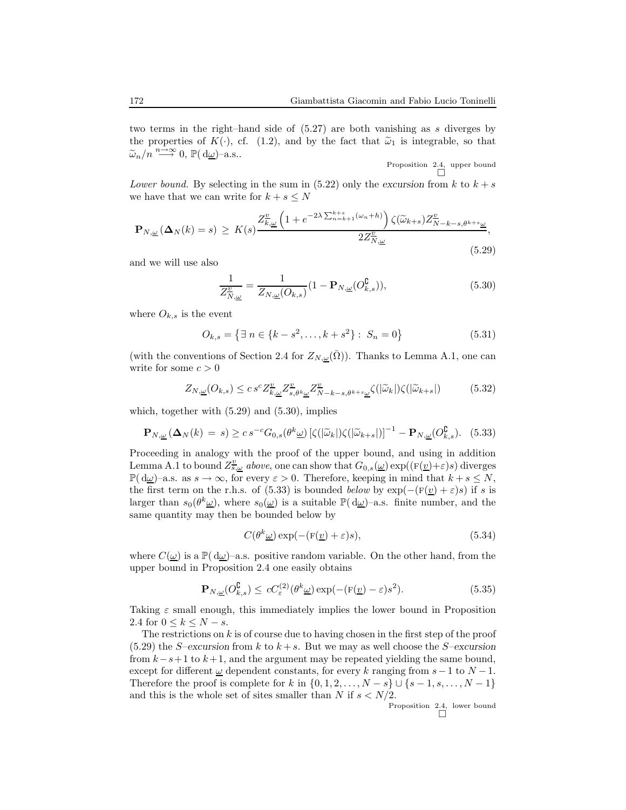two terms in the right–hand side of (5.27) are both vanishing as s diverges by the properties of  $K(\cdot)$ , cf. (1.2), and by the fact that  $\tilde{\omega}_1$  is integrable, so that  $\widetilde{\omega}_n/n \stackrel{n\to\infty}{\longrightarrow} 0, \, \mathbb{P}(\mathrm{d}\underline{\omega})$ -a.s..

Proposition 2.4, upper bound

Lower bound. By selecting in the sum in (5.22) only the excursion from k to  $k + s$ we have that we can write for  $k + s \leq N$ 

$$
\mathbf{P}_{N,\underline{\omega}}\left(\mathbf{\Delta}_{N}(k)=s\right) \geq K(s) \frac{Z_{k,\underline{\omega}}^{\underline{v}}\left(1+e^{-2\lambda\sum_{n=k+1}^{k+s}(\omega_{n}+h)}\right)\zeta(\widetilde{\omega}_{k+s})Z_{N-k-s,\theta^{k+s}\underline{\omega}}^{\underline{v}}}{2Z_{N,\underline{\omega}}^{\underline{v}}},\tag{5.29}
$$

and we will use also

$$
\frac{1}{Z_{N,\underline{\omega}}^{\underline{v}}} = \frac{1}{Z_{N,\underline{\omega}}(O_{k,s})} (1 - \mathbf{P}_{N,\underline{\omega}}(O_{k,s}^{\mathbf{C}})),\tag{5.30}
$$

where  $O_{k,s}$  is the event

$$
O_{k,s} = \{ \exists n \in \{k - s^2, \dots, k + s^2\} : S_n = 0 \}
$$
\n
$$
(5.31)
$$

(with the conventions of Section 2.4 for  $Z_{N,\omega}(\Omega)$ ). Thanks to Lemma A.1, one can write for some  $c > 0$ 

$$
Z_{N,\underline{\omega}}(O_{k,s}) \le c s^c Z_{k,\underline{\omega}}^{\underline{v}} Z_{s,\theta^k \underline{\omega}}^{\underline{v}} Z_{N-k-s,\theta^{k+s} \underline{\omega}}^{\underline{v}} \zeta(|\widetilde{\omega}_k|) \zeta(|\widetilde{\omega}_{k+s}|) \tag{5.32}
$$

which, together with (5.29) and (5.30), implies

$$
\mathbf{P}_{N,\underline{\omega}}\left(\mathbf{\Delta}_{N}(k)=s\right) \ge c s^{-c} G_{0,s}(\theta^{k}\underline{\omega}) \left[\zeta(|\widetilde{\omega}_{k}|)\zeta(|\widetilde{\omega}_{k+s}|)\right]^{-1} - \mathbf{P}_{N,\underline{\omega}}(O_{k,s}^{\complement}). \tag{5.33}
$$

Proceeding in analogy with the proof of the upper bound, and using in addition Lemma A.1 to bound  $Z_{s,\omega}^{\underline{v}}$  above, one can show that  $G_{0,s}(\underline{\omega}) \exp((F(\underline{v})+\varepsilon)s)$  diverges  $\mathbb{P}(\mathrm{d}\omega)$ –a.s. as  $s \to \infty$ , for every  $\varepsilon > 0$ . Therefore, keeping in mind that  $k + s \leq N$ , the first term on the r.h.s. of (5.33) is bounded below by  $\exp(-(\mathbf{F}(\underline{v}) + \varepsilon)s)$  if s is larger than  $s_0(\theta^k\underline{\omega})$ , where  $s_0(\underline{\omega})$  is a suitable  $\mathbb{P}(\mathrm{d}\underline{\omega})$ -a.s. finite number, and the same quantity may then be bounded below by

$$
C(\theta^k \underline{\omega}) \exp(-(\mathbf{F}(\underline{v}) + \varepsilon)s), \tag{5.34}
$$

where  $C(\underline{\omega})$  is a  $\mathbb{P}(\mathrm{d}\underline{\omega})$ -a.s. positive random variable. On the other hand, from the upper bound in Proposition 2.4 one easily obtains

$$
\mathbf{P}_{N,\underline{\omega}}(O_{k,s}^{\complement}) \leq cC_{\varepsilon}^{(2)}(\theta^{k}\underline{\omega})\exp(-(F(\underline{v})-\varepsilon)s^{2}).\tag{5.35}
$$

Taking  $\varepsilon$  small enough, this immediately implies the lower bound in Proposition 2.4 for  $0 \leq k \leq N - s$ .

The restrictions on  $k$  is of course due to having chosen in the first step of the proof (5.29) the S–excursion from k to  $k + s$ . But we may as well choose the S–excursion from  $k-s+1$  to  $k+1$ , and the argument may be repeated yielding the same bound, except for different  $\omega$  dependent constants, for every k ranging from s – 1 to N − 1. Therefore the proof is complete for k in  $\{0, 1, 2, \ldots, N - s\} \cup \{s - 1, s, \ldots, N - 1\}$ and this is the whole set of sites smaller than N if  $s < N/2$ .

Proposition 2.4, lower bound

$$
\mathbf{I} = \mathbf{I}
$$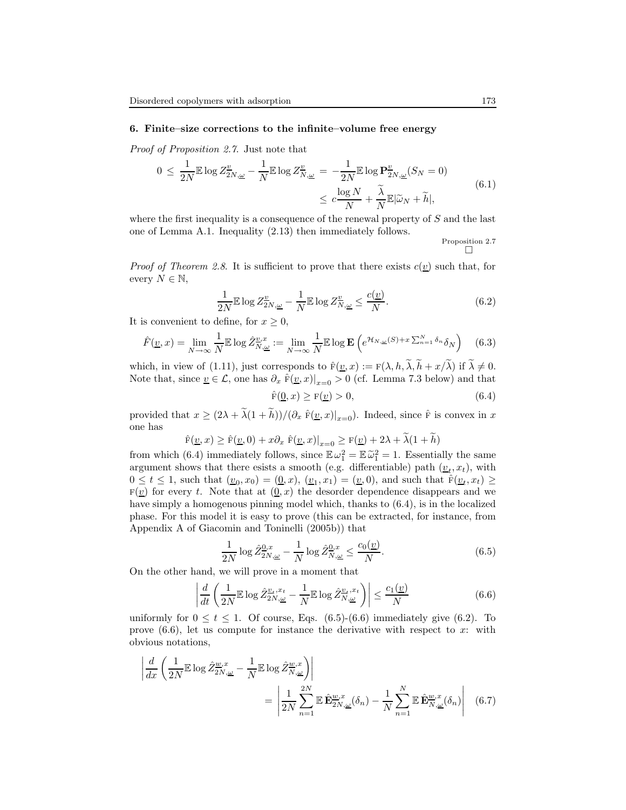## 6. Finite–size corrections to the infinite–volume free energy

Proof of Proposition 2.7. Just note that

$$
0 \le \frac{1}{2N} \mathbb{E} \log Z^{\underline{v}}_{2N,\underline{\omega}} - \frac{1}{N} \mathbb{E} \log Z^{\underline{v}}_{N,\underline{\omega}} = -\frac{1}{2N} \mathbb{E} \log \mathbf{P}^{\underline{v}}_{2N,\underline{\omega}} (S_N = 0)
$$
  

$$
\le c \frac{\log N}{N} + \frac{\tilde{\lambda}}{N} \mathbb{E} |\tilde{\omega}_N + \tilde{h}|,
$$
 (6.1)

where the first inequality is a consequence of the renewal property of  $S$  and the last one of Lemma A.1. Inequality (2.13) then immediately follows.

Proposition 2.7

*Proof of Theorem 2.8.* It is sufficient to prove that there exists  $c(\underline{v})$  such that, for every  $N \in \mathbb{N}$ ,

$$
\frac{1}{2N} \mathbb{E} \log Z^{\underline{v}}_{2N,\underline{\omega}} - \frac{1}{N} \mathbb{E} \log Z^{\underline{v}}_{N,\underline{\omega}} \le \frac{c(\underline{v})}{N}.
$$
 (6.2)

It is convenient to define, for  $x \geq 0$ ,

$$
\hat{F}(\underline{v},x) = \lim_{N \to \infty} \frac{1}{N} \mathbb{E} \log \hat{Z}_{N,\underline{\omega}}^{v,x} := \lim_{N \to \infty} \frac{1}{N} \mathbb{E} \log \mathbf{E} \left( e^{\mathcal{H}_{N,\underline{\omega}}(S) + x \sum_{n=1}^{N} \delta_n} \delta_N \right) \tag{6.3}
$$

which, in view of (1.11), just corresponds to  $\hat{F}(\underline{v},x) := F(\lambda, h, \lambda, h + x/\lambda)$  if  $\lambda \neq 0$ . Note that, since  $\underline{v} \in \mathcal{L}$ , one has  $\partial_x \hat{F}(\underline{v}, x)|_{x=0} > 0$  (cf. Lemma 7.3 below) and that

 $\hat{F}(0, x) \geq F(v) > 0,$ (6.4)

provided that  $x \geq (2\lambda + \tilde{\lambda}(1 + \tilde{h}))/(\partial_x \hat{F}(\underline{v}, x)|_{x=0})$ . Indeed, since  $\hat{F}$  is convex in x one has

$$
\hat{F}(\underline{v},x) \ge \hat{F}(\underline{v},0) + x\partial_x \hat{F}(\underline{v},x)|_{x=0} \ge F(\underline{v}) + 2\lambda + \tilde{\lambda}(1+\tilde{h})
$$

from which (6.4) immediately follows, since  $\mathbb{E} \omega_1^2 = \mathbb{E} \tilde{\omega}_1^2 = 1$ . Essentially the same argument shows that there esists a smooth (e.g. differentiable) path  $(\underline{v}_t, x_t)$ , with  $0 \leq t \leq 1$ , such that  $(\underline{v}_0, x_0) = (\underline{0}, x)$ ,  $(\underline{v}_1, x_1) = (\underline{v}, 0)$ , and such that  $\hat{F}(\underline{v}_t, x_t) \geq 0$  $F(\underline{v})$  for every t. Note that at  $(0, x)$  the desorder dependence disappears and we have simply a homogenous pinning model which, thanks to (6.4), is in the localized phase. For this model it is easy to prove (this can be extracted, for instance, from Appendix A of Giacomin and Toninelli (2005b)) that

$$
\frac{1}{2N}\log\hat{Z}_{2N,\underline{\omega}}^{0,x} - \frac{1}{N}\log\hat{Z}_{N,\underline{\omega}}^{0,x} \le \frac{c_0(\underline{v})}{N}.\tag{6.5}
$$

On the other hand, we will prove in a moment that

$$
\left| \frac{d}{dt} \left( \frac{1}{2N} \mathbb{E} \log \hat{Z}_{2N,\underline{\omega}}^{\underline{v}_t, x_t} - \frac{1}{N} \mathbb{E} \log \hat{Z}_{N,\underline{\omega}}^{\underline{v}_t, x_t} \right) \right| \le \frac{c_1(\underline{v})}{N} \tag{6.6}
$$

uniformly for  $0 \le t \le 1$ . Of course, Eqs. (6.5)-(6.6) immediately give (6.2). To prove  $(6.6)$ , let us compute for instance the derivative with respect to x: with obvious notations,

$$
\left| \frac{d}{dx} \left( \frac{1}{2N} \mathbb{E} \log \hat{Z}_{2N,\underline{\omega}}^{\underline{w},x} - \frac{1}{N} \mathbb{E} \log \hat{Z}_{N,\underline{\omega}}^{\underline{w},x} \right) \right|
$$
  

$$
= \left| \frac{1}{2N} \sum_{n=1}^{2N} \mathbb{E} \hat{\mathbf{E}}_{2N,\underline{\omega}}^{\underline{w},x} (\delta_n) - \frac{1}{N} \sum_{n=1}^{N} \mathbb{E} \hat{\mathbf{E}}_{N,\underline{\omega}}^{\underline{w},x} (\delta_n) \right| \quad (6.7)
$$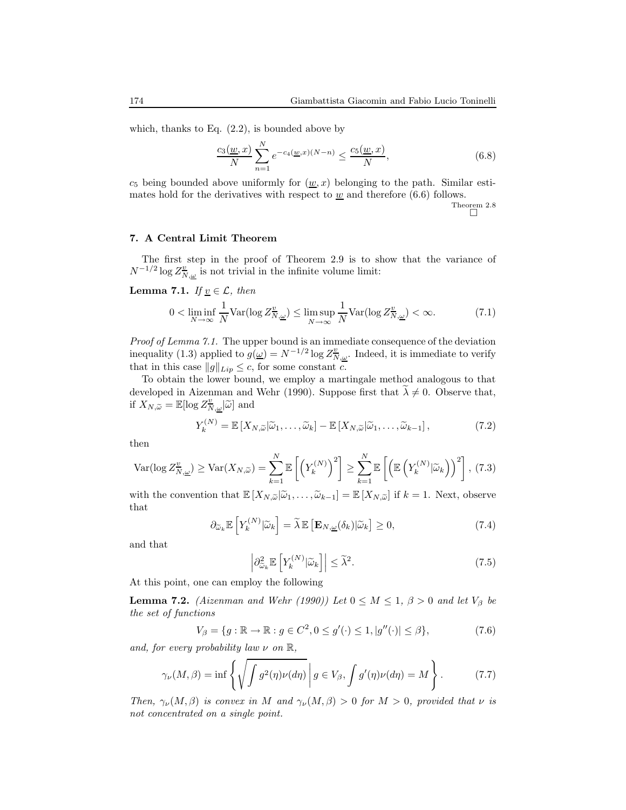which, thanks to Eq.  $(2.2)$ , is bounded above by

$$
\frac{c_3(\underline{w},x)}{N} \sum_{n=1}^{N} e^{-c_4(\underline{w},x)(N-n)} \le \frac{c_5(\underline{w},x)}{N},\tag{6.8}
$$

 $c_5$  being bounded above uniformly for  $(\underline{w}, x)$  belonging to the path. Similar estimates hold for the derivatives with respect to  $\underline{w}$  and therefore (6.6) follows.

Theorem 2.8

## 7. A Central Limit Theorem

The first step in the proof of Theorem 2.9 is to show that the variance of  $N^{-1/2}\log Z^{\underline{v}}_{N,\underline{\omega}}$  is not trivial in the infinite volume limit:

**Lemma 7.1.** If  $v \in \mathcal{L}$ , then

$$
0 < \liminf_{N \to \infty} \frac{1}{N} \text{Var}(\log Z^{\underline{v}}_{N, \underline{\omega}}) \le \limsup_{N \to \infty} \frac{1}{N} \text{Var}(\log Z^{\underline{v}}_{N, \underline{\omega}}) < \infty. \tag{7.1}
$$

Proof of Lemma 7.1. The upper bound is an immediate consequence of the deviation inequality (1.3) applied to  $g(\underline{\omega}) = N^{-1/2} \log Z_{N, \underline{\omega}}^{\underline{v}}$ . Indeed, it is immediate to verify that in this case  $||g||_{Lip} \leq c$ , for some constant c.

To obtain the lower bound, we employ a martingale method analogous to that developed in Aizenman and Wehr (1990). Suppose first that  $\lambda \neq 0$ . Observe that, if  $X_{N,\widetilde{\omega}} = \mathbb{E}[\log Z^{\underline{v}}_{N,\underline{\omega}}|\widetilde{\omega}]$  and

$$
Y_k^{(N)} = \mathbb{E}\left[X_{N,\widetilde{\omega}}|\widetilde{\omega}_1,\ldots,\widetilde{\omega}_k\right] - \mathbb{E}\left[X_{N,\widetilde{\omega}}|\widetilde{\omega}_1,\ldots,\widetilde{\omega}_{k-1}\right],\tag{7.2}
$$

then

$$
\text{Var}(\log Z_{N,\underline{\omega}}^{\underline{v}}) \ge \text{Var}(X_{N,\widetilde{\omega}}) = \sum_{k=1}^{N} \mathbb{E}\left[\left(Y_k^{(N)}\right)^2\right] \ge \sum_{k=1}^{N} \mathbb{E}\left[\left(\mathbb{E}\left(Y_k^{(N)}|\widetilde{\omega}_k\right)\right)^2\right],\tag{7.3}
$$

with the convention that  $\mathbb{E}[X_{N,\widetilde{\omega}}|\widetilde{\omega}_1,\ldots,\widetilde{\omega}_{k-1}] = \mathbb{E}[X_{N,\widetilde{\omega}}]$  if  $k = 1$ . Next, observe that

$$
\partial_{\widetilde{\omega}_k} \mathbb{E}\left[Y_k^{(N)}|\widetilde{\omega}_k\right] = \widetilde{\lambda} \mathbb{E}\left[\mathbf{E}_{N,\underline{\omega}}(\delta_k)|\widetilde{\omega}_k\right] \ge 0,\tag{7.4}
$$

and that

$$
\left| \partial_{\widetilde{\omega}_k}^2 \mathbb{E} \left[ Y_k^{(N)} | \widetilde{\omega}_k \right] \right| \le \widetilde{\lambda}^2. \tag{7.5}
$$

At this point, one can employ the following

**Lemma 7.2.** (Aizenman and Wehr (1990)) Let  $0 \leq M \leq 1$ ,  $\beta > 0$  and let  $V_{\beta}$  be the set of functions

$$
V_{\beta} = \{ g : \mathbb{R} \to \mathbb{R} : g \in C^2, 0 \le g'(\cdot) \le 1, |g''(\cdot)| \le \beta \},\tag{7.6}
$$

and, for every probability law  $\nu$  on  $\mathbb{R}$ ,

$$
\gamma_{\nu}(M,\beta) = \inf \left\{ \sqrt{\int g^2(\eta)\nu(d\eta)} \, \middle| \, g \in V_{\beta}, \int g'(\eta)\nu(d\eta) = M \right\}.
$$
 (7.7)

Then,  $\gamma_{\nu}(M, \beta)$  is convex in M and  $\gamma_{\nu}(M, \beta) > 0$  for  $M > 0$ , provided that  $\nu$  is not concentrated on a single point.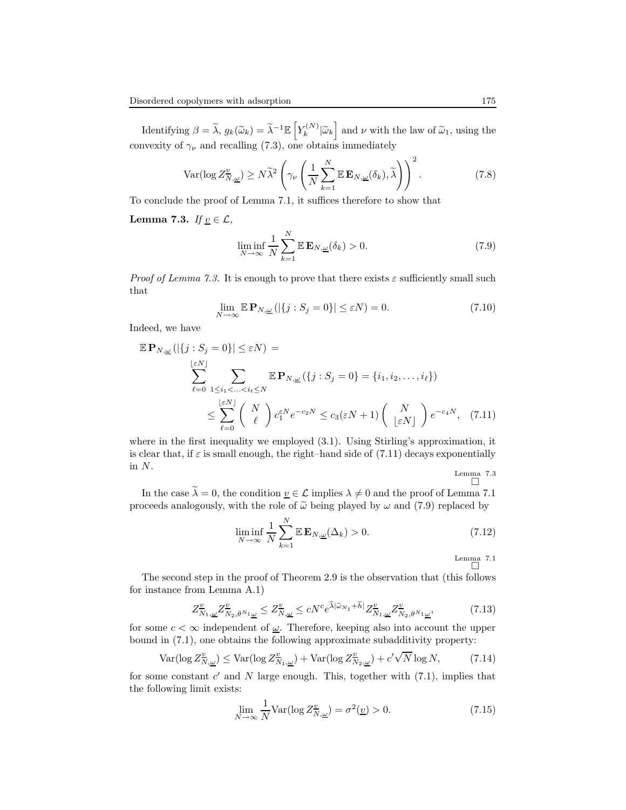Identifying  $\beta = \tilde{\lambda}, g_k(\tilde{\omega}_k) = \tilde{\lambda}^{-1} \mathbb{E} \left[ Y_k^{(N)} \right]$  $\left[\begin{matrix} \n\mu_k \\ \n\end{matrix}\right]$  and  $\nu$  with the law of  $\widetilde{\omega}_1$ , using the convexity of  $\gamma_{\nu}$  and recalling (7.3), one obtains immediately

$$
\text{Var}(\log Z_{N,\underline{\omega}}^{\underline{v}}) \ge N\widetilde{\lambda}^2 \left(\gamma_{\nu} \left(\frac{1}{N} \sum_{k=1}^N \mathbb{E} \mathbf{E}_{N,\underline{\omega}}(\delta_k), \widetilde{\lambda}\right)\right)^2. \tag{7.8}
$$

To conclude the proof of Lemma 7.1, it suffices therefore to show that

Lemma 7.3. If  $\underline{v} \in \mathcal{L}$ ,

$$
\liminf_{N \to \infty} \frac{1}{N} \sum_{k=1}^{N} \mathbb{E} \mathbf{E}_{N,\underline{\omega}}(\delta_k) > 0.
$$
\n(7.9)

*Proof of Lemma 7.3.* It is enough to prove that there exists  $\varepsilon$  sufficiently small such that

$$
\lim_{N \to \infty} \mathbb{E} \mathbf{P}_{N,\underline{\omega}} \left( |\{ j : S_j = 0 \}| \le \varepsilon N \right) = 0. \tag{7.10}
$$

Indeed, we have

$$
\mathbb{E} \mathbf{P}_{N,\underline{\omega}}\left( |\{j: S_j = 0\}| \le \varepsilon N \right) =
$$
\n
$$
\sum_{\ell=0}^{\lfloor \varepsilon N \rfloor} \sum_{1 \le i_1 < \ldots < i_\ell \le N} \mathbb{E} \mathbf{P}_{N,\underline{\omega}}\left( \{j: S_j = 0\} = \{i_1, i_2, \ldots, i_\ell\} \right)
$$
\n
$$
\le \sum_{\ell=0}^{\lfloor \varepsilon N \rfloor} \binom{N}{\ell} c_1^{\varepsilon N} e^{-c_2 N} \le c_3(\varepsilon N + 1) \binom{N}{\lfloor \varepsilon N \rfloor} e^{-c_4 N}, \quad (7.11)
$$

where in the first inequality we employed  $(3.1)$ . Using Stirling's approximation, it is clear that, if  $\varepsilon$  is small enough, the right–hand side of (7.11) decays exponentially in N.

Lemma 7.3

In the case  $\tilde{\lambda} = 0$ , the condition  $\underline{v} \in \mathcal{L}$  implies  $\lambda \neq 0$  and the proof of Lemma 7.1 proceeds analogously, with the role of  $\tilde{\omega}$  being played by  $\omega$  and (7.9) replaced by

$$
\liminf_{N \to \infty} \frac{1}{N} \sum_{k=1}^{N} \mathbb{E} \mathbf{E}_{N,\underline{\omega}}(\Delta_k) > 0.
$$
\n(7.12)

Lemma 7.1

The second step in the proof of Theorem 2.9 is the observation that (this follows for instance from Lemma A.1)

$$
Z^{\underline{v}}_{N_1,\underline{\omega}} Z^{\underline{v}}_{N_2,\theta^{N_1}\underline{\omega}} \le Z^{\underline{v}}_{N,\underline{\omega}} \le cN^c e^{\widetilde{\lambda}|\widetilde{\omega}_{N_1} + \widetilde{h}|} Z^{\underline{v}}_{N_1,\underline{\omega}} Z^{\underline{v}}_{N_2,\theta^{N_1}\underline{\omega}},\tag{7.13}
$$

for some  $c < \infty$  independent of <u> $\omega$ </u>. Therefore, keeping also into account the upper bound in (7.1), one obtains the following approximate subadditivity property:

$$
\text{Var}(\log Z_{N,\underline{\omega}}^{\underline{v}}) \le \text{Var}(\log Z_{N_1,\underline{\omega}}^{\underline{v}}) + \text{Var}(\log Z_{N_2,\underline{\omega}}^{\underline{v}}) + c'\sqrt{N}\log N,\tag{7.14}
$$

for some constant  $c'$  and  $N$  large enough. This, together with  $(7.1)$ , implies that the following limit exists:

$$
\lim_{N \to \infty} \frac{1}{N} \text{Var}(\log Z^{\underline{v}}_{N, \underline{\omega}}) = \sigma^2(\underline{v}) > 0. \tag{7.15}
$$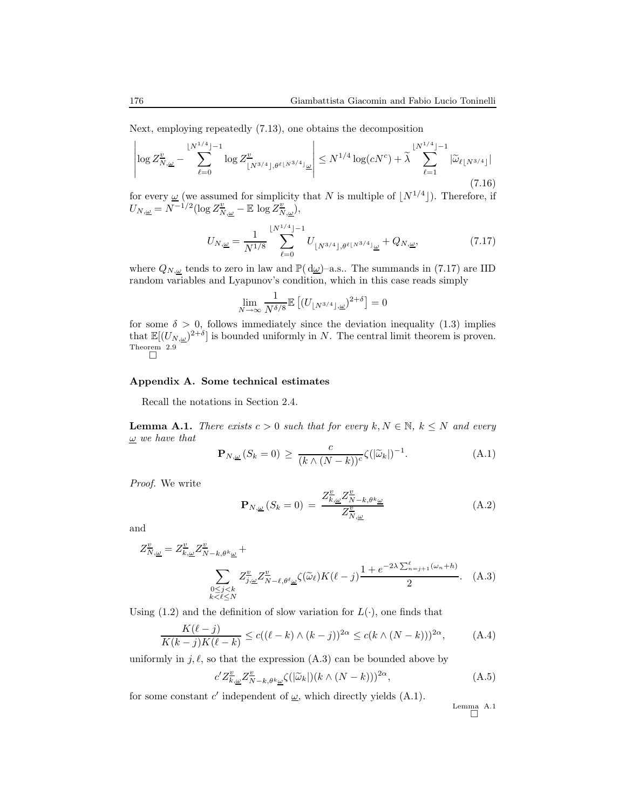Next, employing repeatedly (7.13), one obtains the decomposition

$$
\left| \log Z^{\underline{v}}_{N,\underline{\omega}} - \sum_{\ell=0}^{\lfloor N^{1/4} \rfloor - 1} \log Z^{\underline{v}}_{\lfloor N^{3/4} \rfloor, \theta^{\ell \lfloor N^{3/4} \rfloor} \underline{\omega}} \right| \le N^{1/4} \log(cN^c) + \tilde{\lambda} \sum_{\ell=1}^{\lfloor N^{1/4} \rfloor - 1} |\tilde{\omega}_{\ell \lfloor N^{3/4} \rfloor}|
$$
\n(7.16)

for every  $\underline{\omega}$  (we assumed for simplicity that N is multiple of  $\lfloor N^{1/4} \rfloor$ ). Therefore, if  $U_{N,\underline{\omega}} = N^{-1/2} (\log Z^{\underline{v}}_{N,\underline{\omega}} - \mathbb{E} \log Z^{\underline{v}}_{N,\underline{\omega}}),$ 

$$
U_{N,\underline{\omega}} = \frac{1}{N^{1/8}} \sum_{\ell=0}^{\lfloor N^{1/4} \rfloor - 1} U_{\lfloor N^{3/4} \rfloor, \theta^{\ell \lfloor N^{3/4} \rfloor} \underline{\omega}} + Q_{N,\underline{\omega}},\tag{7.17}
$$

where  $Q_{N,\underline{\omega}}$  tends to zero in law and  $\mathbb{P}(\mathrm{d}\underline{\omega})$ -a.s.. The summands in (7.17) are IID random variables and Lyapunov's condition, which in this case reads simply

$$
\lim_{N \to \infty} \frac{1}{N^{\delta/8}} \mathbb{E} \left[ (U_{\lfloor N^{3/4} \rfloor, \underline{\omega}})^{2+\delta} \right] = 0
$$

for some  $\delta > 0$ , follows immediately since the deviation inequality (1.3) implies that  $\mathbb{E}[(U_{N,\underline{\omega}})^{2+\delta}]$  is bounded uniformly in N. The central limit theorem is proven. Theorem 2.9

## Appendix A. Some technical estimates

Recall the notations in Section 2.4.

**Lemma A.1.** There exists  $c > 0$  such that for every  $k, N \in \mathbb{N}, k \leq N$  and every  $\omega$  we have that

$$
\mathbf{P}_{N,\underline{\omega}}(S_k=0) \ge \frac{c}{(k \wedge (N-k))^c} \zeta(|\widetilde{\omega}_k|)^{-1}.
$$
 (A.1)

Proof. We write

$$
\mathbf{P}_{N,\underline{\omega}}\left(S_{k}=0\right) = \frac{Z_{k,\underline{\omega}}^{\underline{v}}Z_{N-k,\theta^{k}\underline{\omega}}^{\underline{v}}}{Z_{N,\underline{\omega}}^{\underline{v}}} \tag{A.2}
$$

and

$$
Z_{N,\underline{\omega}}^{\underline{v}} = Z_{k,\underline{\omega}}^{\underline{v}} Z_{N-k,\theta^k \underline{\omega}}^{\underline{v}} + \sum_{\substack{0 \le j < k \\ 0 \le j < k}} Z_{j,\underline{\omega}}^{\underline{v}} Z_{N-\ell,\theta^{\ell}\underline{\omega}}^{\underline{v}} \zeta(\widetilde{\omega}_{\ell}) K(\ell - j) \frac{1 + e^{-2\lambda \sum_{n=j+1}^{\ell} (\omega_n + h)}}{2}.
$$
 (A.3)

Using (1.2) and the definition of slow variation for  $L(\cdot)$ , one finds that

$$
\frac{K(\ell-j)}{K(k-j)K(\ell-k)} \le c((\ell-k)\wedge (k-j))^{2\alpha} \le c(k\wedge (N-k)))^{2\alpha},\tag{A.4}
$$

uniformly in j,  $\ell$ , so that the expression (A.3) can be bounded above by

$$
c'Z^{\underline{v}}_{\overline{k},\underline{\omega}}Z^{\underline{v}}_{\overline{N}-k,\theta^k\underline{\omega}}\zeta(|\widetilde{\omega}_k|)(k\wedge(N-k)))^{2\alpha},\tag{A.5}
$$

for some constant  $c'$  independent of  $\underline{\omega}$ , which directly yields (A.1).

Lemma A.1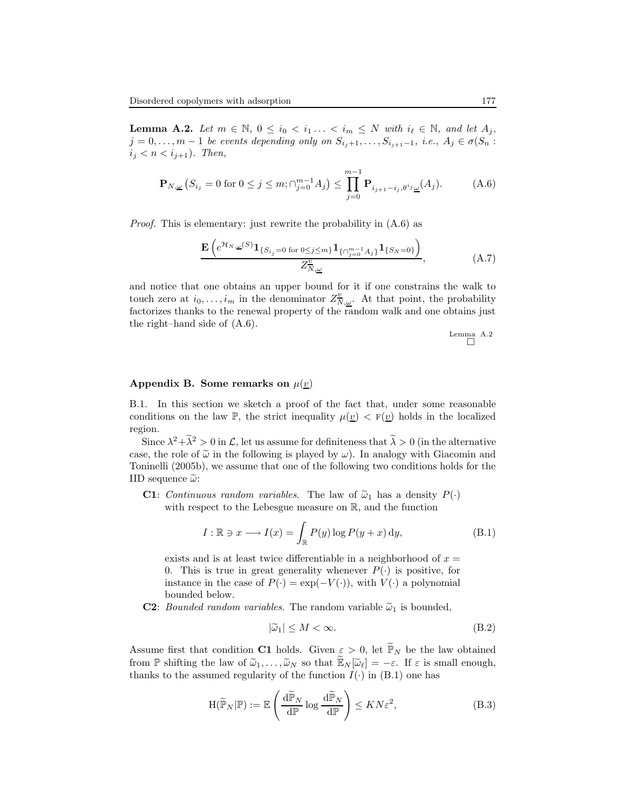**Lemma A.2.** Let  $m \in \mathbb{N}$ ,  $0 \leq i_0 < i_1... < i_m \leq N$  with  $i_\ell \in \mathbb{N}$ , and let  $A_j$ ,  $j = 0, \ldots, m - 1$  be events depending only on  $S_{i_j+1}, \ldots, S_{i_{j+1}-1}, i.e., A_j \in \sigma(S_n :$  $i_j < n < i_{j+1}$ ). Then,

$$
\mathbf{P}_{N,\underline{\omega}}\left(S_{i_j} = 0 \text{ for } 0 \le j \le m; \bigcap_{j=0}^{m-1} A_j\right) \le \prod_{j=0}^{m-1} \mathbf{P}_{i_{j+1}-i_j, \theta^i j}(\underline{\omega}(A_j)).\tag{A.6}
$$

Proof. This is elementary: just rewrite the probability in (A.6) as

$$
\frac{\mathbf{E}\left(e^{\mathcal{H}_{N,\underline{\omega}}(S)}\mathbf{1}_{\{S_{i_j}=0\text{ for }0\leq j\leq m\}}\mathbf{1}_{\{\cap_{j=0}^{m-1}A_j\}}\mathbf{1}_{\{S_N=0\}}\right)}{Z_{N,\underline{\omega}}^{\underline{v}}},\tag{A.7}
$$

and notice that one obtains an upper bound for it if one constrains the walk to touch zero at  $i_0, \ldots, i_m$  in the denominator  $Z_{N,\underline{\omega}}^{\underline{v}}$ . At that point, the probability factorizes thanks to the renewal property of the random walk and one obtains just the right–hand side of (A.6).

$$
\begin{array}{c}\text{Lemma} \quad A.2\\ \square\n\end{array}
$$

# Appendix B. Some remarks on  $\mu(\underline{v})$

B.1. In this section we sketch a proof of the fact that, under some reasonable conditions on the law P, the strict inequality  $\mu(\underline{v}) < F(\underline{v})$  holds in the localized region.

Since  $\lambda^2 + \lambda^2 > 0$  in  $\mathcal{L}$ , let us assume for definiteness that  $\lambda > 0$  (in the alternative case, the role of  $\tilde{\omega}$  in the following is played by  $\omega$ ). In analogy with Giacomin and Toninelli (2005b), we assume that one of the following two conditions holds for the IID sequence  $\tilde{\omega}$ :

**C1**: Continuous random variables. The law of  $\tilde{\omega}_1$  has a density  $P(\cdot)$ with respect to the Lebesgue measure on R, and the function

$$
I: \mathbb{R} \ni x \longrightarrow I(x) = \int_{\mathbb{R}} P(y) \log P(y+x) \, dy,
$$
 (B.1)

exists and is at least twice differentiable in a neighborhood of  $x =$ 0. This is true in great generality whenever  $P(\cdot)$  is positive, for instance in the case of  $P(\cdot) = \exp(-V(\cdot))$ , with  $V(\cdot)$  a polynomial bounded below.

**C2**: Bounded random variables. The random variable  $\tilde{\omega}_1$  is bounded,

$$
|\tilde{\omega}_1| \le M < \infty. \tag{B.2}
$$

Assume first that condition C1 holds. Given  $\varepsilon > 0$ , let  $\widetilde{\mathbb{P}}_N$  be the law obtained from P shifting the law of  $\tilde{\omega}_1, \ldots, \tilde{\omega}_N$  so that  $\tilde{\mathbb{E}}_N[\tilde{\omega}_\ell] = -\varepsilon$ . If  $\varepsilon$  is small enough, thanks to the assumed regularity of the function  $I(\cdot)$  in  $(B.1)$  one has

$$
H(\widetilde{\mathbb{P}}_N|\mathbb{P}) := \mathbb{E}\left(\frac{d\widetilde{\mathbb{P}}_N}{d\mathbb{P}}\log\frac{d\widetilde{\mathbb{P}}_N}{d\mathbb{P}}\right) \le KN\varepsilon^2,\tag{B.3}
$$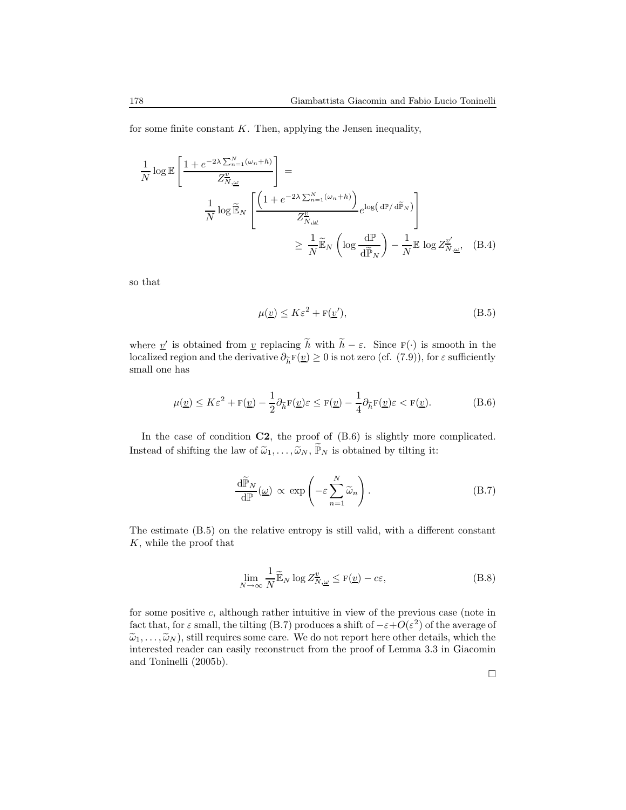for some finite constant  $K$ . Then, applying the Jensen inequality,

$$
\frac{1}{N} \log \mathbb{E} \left[ \frac{1 + e^{-2\lambda \sum_{n=1}^{N} (\omega_n + h)}}{Z_{N, \underline{\omega}}^{\underline{v}}} \right] =
$$
\n
$$
\frac{1}{N} \log \widetilde{\mathbb{E}}_{N} \left[ \frac{\left(1 + e^{-2\lambda \sum_{n=1}^{N} (\omega_n + h)}\right)}{Z_{N, \underline{\omega}}^{\underline{v}}} e^{\log \left(\frac{\mathrm{d}\mathbb{P}}{\mathrm{d}\widetilde{\mathbb{P}}_{N}}\right)} \right]
$$
\n
$$
\geq \frac{1}{N} \widetilde{\mathbb{E}}_{N} \left( \log \frac{\mathrm{d}\mathbb{P}}{\mathrm{d}\widetilde{\mathbb{P}}_{N}} \right) - \frac{1}{N} \mathbb{E} \log Z_{N, \underline{\omega}}^{\underline{v}'} , \quad (B.4)
$$

so that

$$
\mu(\underline{v}) \le K\varepsilon^2 + F(\underline{v}'),\tag{B.5}
$$

where <u>v</u>' is obtained from <u>v</u> replacing  $\tilde{h}$  with  $\tilde{h} - \varepsilon$ . Since  $F(\cdot)$  is smooth in the localized region and the derivative  $\partial_{\tilde{h}} F(\underline{v}) \geq 0$  is not zero (cf. (7.9)), for  $\varepsilon$  sufficiently small one has

$$
\mu(\underline{v}) \le K\varepsilon^2 + \mathbf{F}(\underline{v}) - \frac{1}{2}\partial_{\widetilde{h}}\mathbf{F}(\underline{v})\varepsilon \le \mathbf{F}(\underline{v}) - \frac{1}{4}\partial_{\widetilde{h}}\mathbf{F}(\underline{v})\varepsilon < \mathbf{F}(\underline{v}).
$$
\n(B.6)

In the case of condition  $C2$ , the proof of  $(B.6)$  is slightly more complicated. Instead of shifting the law of  $\tilde{\omega}_1, \ldots, \tilde{\omega}_N, \tilde{\mathbb{P}}_N$  is obtained by tilting it:

$$
\frac{\mathrm{d}\widetilde{\mathbb{P}}_N}{\mathrm{d}\mathbb{P}}(\underline{\omega}) \propto \exp\left(-\varepsilon \sum_{n=1}^N \widetilde{\omega}_n\right). \tag{B.7}
$$

The estimate (B.5) on the relative entropy is still valid, with a different constant K, while the proof that

$$
\lim_{N \to \infty} \frac{1}{N} \widetilde{\mathbb{E}}_N \log Z^{\underline{v}}_{N, \underline{\omega}} \le \mathbf{F}(\underline{v}) - c\varepsilon,\tag{B.8}
$$

for some positive c, although rather intuitive in view of the previous case (note in fact that, for  $\varepsilon$  small, the tilting (B.7) produces a shift of  $-\varepsilon+O(\varepsilon^2)$  of the average of  $\tilde{\omega}_1, \ldots, \tilde{\omega}_N$ , still requires some care. We do not report here other details, which the interested reader can easily reconstruct from the proof of Lemma 3.3 in Giacomin and Toninelli (2005b).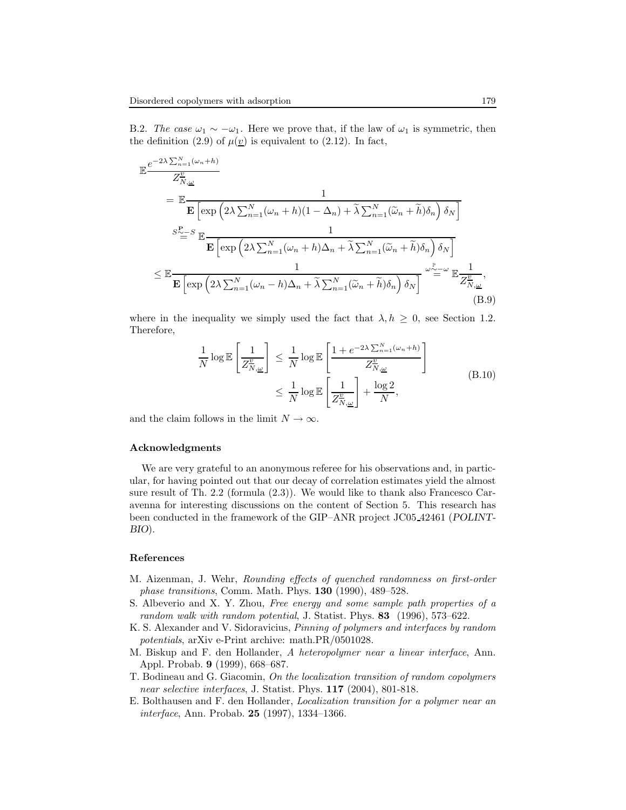B.2. The case  $\omega_1 \sim -\omega_1$ . Here we prove that, if the law of  $\omega_1$  is symmetric, then the definition (2.9) of  $\mu(\underline{v})$  is equivalent to (2.12). In fact,

$$
\mathbb{E} \frac{e^{-2\lambda \sum_{n=1}^{N} (\omega_{n} + h)}}{Z_{N,\underline{\omega}}^{\underline{v}}} \n= \mathbb{E} \frac{1}{\mathbf{E} \left[ \exp \left( 2\lambda \sum_{n=1}^{N} (\omega_{n} + h)(1 - \Delta_{n}) + \tilde{\lambda} \sum_{n=1}^{N} (\tilde{\omega}_{n} + \tilde{h}) \delta_{n} \right) \delta_{N} \right]} \n\frac{S_{\underline{\omega}}^{\underline{v}} - S}{\mathbf{E} \left[ \exp \left( 2\lambda \sum_{n=1}^{N} (\omega_{n} + h)\Delta_{n} + \tilde{\lambda} \sum_{n=1}^{N} (\tilde{\omega}_{n} + \tilde{h}) \delta_{n} \right) \delta_{N} \right]} \n\leq \mathbb{E} \frac{1}{\mathbf{E} \left[ \exp \left( 2\lambda \sum_{n=1}^{N} (\omega_{n} - h)\Delta_{n} + \tilde{\lambda} \sum_{n=1}^{N} (\tilde{\omega}_{n} + \tilde{h}) \delta_{n} \right) \delta_{N} \right]} \omega_{\underline{\omega}}^{\underline{v}_{\underline{\omega}} - \underline{\omega}} \mathbb{E} \frac{1}{Z_{N,\underline{\omega}}^{\underline{v}}},
$$
\n(B.9)

where in the inequality we simply used the fact that  $\lambda, h \geq 0$ , see Section 1.2. Therefore,

$$
\frac{1}{N} \log \mathbb{E} \left[ \frac{1}{Z_{N,\underline{\omega}}^{\underline{v}}} \right] \leq \frac{1}{N} \log \mathbb{E} \left[ \frac{1 + e^{-2\lambda \sum_{n=1}^{N} (\omega_n + h)}}{Z_{N,\underline{\omega}}^{\underline{v}}} \right]
$$
\n
$$
\leq \frac{1}{N} \log \mathbb{E} \left[ \frac{1}{Z_{N,\underline{\omega}}^{\underline{v}}} \right] + \frac{\log 2}{N},
$$
\n(B.10)

and the claim follows in the limit  $N \to \infty$ .

#### Acknowledgments

We are very grateful to an anonymous referee for his observations and, in particular, for having pointed out that our decay of correlation estimates yield the almost sure result of Th. 2.2 (formula (2.3)). We would like to thank also Francesco Caravenna for interesting discussions on the content of Section 5. This research has been conducted in the framework of the GIP–ANR project JC05 42461 (POLINT-BIO).

#### References

- M. Aizenman, J. Wehr, Rounding effects of quenched randomness on first-order phase transitions, Comm. Math. Phys. 130 (1990), 489–528.
- S. Albeverio and X. Y. Zhou, Free energy and some sample path properties of a random walk with random potential, J. Statist. Phys. 83 (1996), 573–622.
- K. S. Alexander and V. Sidoravicius, Pinning of polymers and interfaces by random potentials, arXiv e-Print archive: math.PR/0501028.
- M. Biskup and F. den Hollander, A heteropolymer near a linear interface, Ann. Appl. Probab. 9 (1999), 668–687.
- T. Bodineau and G. Giacomin, On the localization transition of random copolymers near selective interfaces, J. Statist. Phys. 117 (2004), 801-818.
- E. Bolthausen and F. den Hollander, Localization transition for a polymer near an interface, Ann. Probab. 25 (1997), 1334–1366.